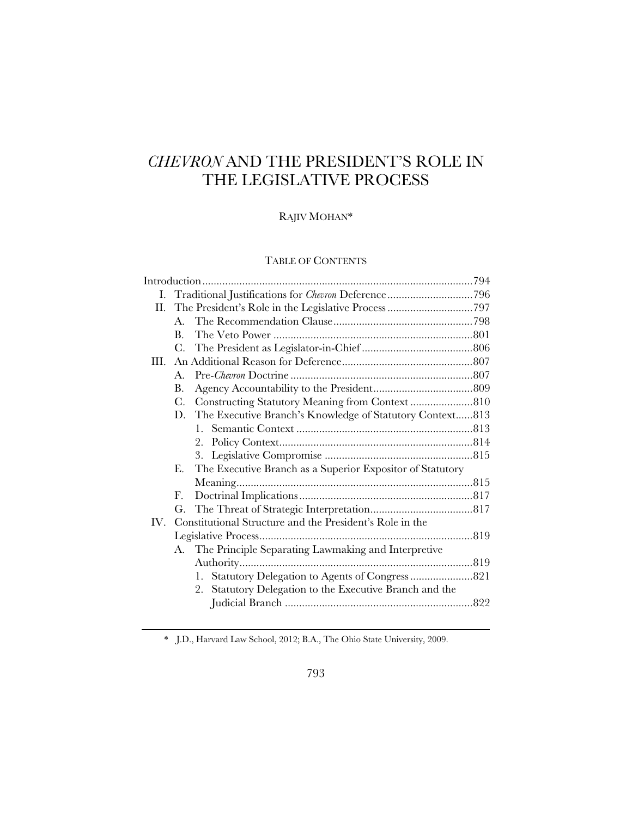# *CHEVRON* AND THE PRESIDENT'S ROLE IN THE LEGISLATIVE PROCESS

# RAJIV MOHAN\*

# TABLE OF CONTENTS

| H.   |                |                                                           |  |
|------|----------------|-----------------------------------------------------------|--|
|      | $A_{\cdot}$    |                                                           |  |
|      | $\bf{B}$ .     |                                                           |  |
|      | C.             |                                                           |  |
| III. |                |                                                           |  |
|      | $\mathbf{A}$ . |                                                           |  |
|      | <b>B.</b>      |                                                           |  |
|      | C.             | Constructing Statutory Meaning from Context810            |  |
|      | D.             | The Executive Branch's Knowledge of Statutory Context813  |  |
|      |                |                                                           |  |
|      |                | 2.                                                        |  |
|      |                |                                                           |  |
|      | Е.             | The Executive Branch as a Superior Expositor of Statutory |  |
|      |                |                                                           |  |
|      | F.             |                                                           |  |
|      | G.             |                                                           |  |
| IV.  |                | Constitutional Structure and the President's Role in the  |  |
|      |                |                                                           |  |
|      | А.             | The Principle Separating Lawmaking and Interpretive       |  |
|      |                |                                                           |  |
|      |                | 1.                                                        |  |
|      |                | 2. Statutory Delegation to the Executive Branch and the   |  |
|      |                |                                                           |  |
|      |                |                                                           |  |

\* J.D., Harvard Law School, 2012; B.A., The Ohio State University, 2009.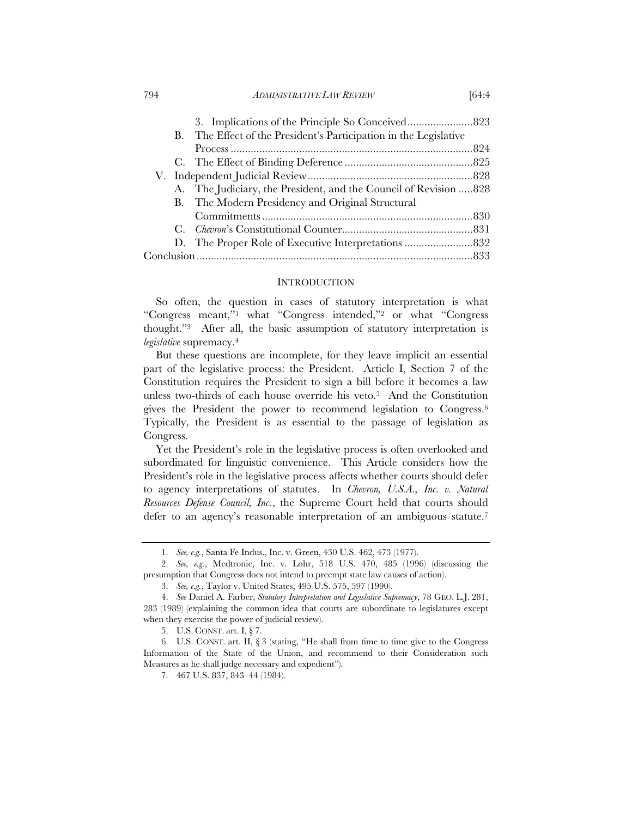#### 794 *ADMINISTRATIVE LAW REVIEW* [64:4

| B. The Effect of the President's Participation in the Legislative |  |
|-------------------------------------------------------------------|--|
|                                                                   |  |
|                                                                   |  |
|                                                                   |  |
| A. The Judiciary, the President, and the Council of Revision  828 |  |
| B. The Modern Presidency and Original Structural                  |  |
|                                                                   |  |
|                                                                   |  |
|                                                                   |  |
|                                                                   |  |
|                                                                   |  |

#### **INTRODUCTION**

So often, the question in cases of statutory interpretation is what "Congress meant,"1 what "Congress intended,"2 or what "Congress thought."3 After all, the basic assumption of statutory interpretation is *legislative* supremacy.4

But these questions are incomplete, for they leave implicit an essential part of the legislative process: the President. Article I, Section 7 of the Constitution requires the President to sign a bill before it becomes a law unless two-thirds of each house override his veto.5 And the Constitution gives the President the power to recommend legislation to Congress.6 Typically, the President is as essential to the passage of legislation as Congress.

Yet the President's role in the legislative process is often overlooked and subordinated for linguistic convenience. This Article considers how the President's role in the legislative process affects whether courts should defer to agency interpretations of statutes. In *Chevron, U.S.A., Inc. v. Natural Resources Defense Council, Inc.*, the Supreme Court held that courts should defer to an agency's reasonable interpretation of an ambiguous statute.<sup>7</sup>

 <sup>1.</sup> *See, e.g.*, Santa Fe Indus., Inc. v. Green, 430 U.S. 462, 473 (1977).

 <sup>2.</sup> *See, e.g.*, Medtronic, Inc. v. Lohr, 518 U.S. 470, 485 (1996) (discussing the presumption that Congress does not intend to preempt state law causes of action).

 <sup>3.</sup> *See, e.g.*, Taylor v. United States, 495 U.S. 575, 597 (1990).

 <sup>4.</sup> *See* Daniel A. Farber, *Statutory Interpretation and Legislative Supremacy*, 78 GEO. L.J. 281, 283 (1989) (explaining the common idea that courts are subordinate to legislatures except when they exercise the power of judicial review).

 <sup>5.</sup> U.S. CONST. art. I, § 7.

 <sup>6.</sup> U.S. CONST. art. II, § 3 (stating, "He shall from time to time give to the Congress Information of the State of the Union, and recommend to their Consideration such Measures as he shall judge necessary and expedient").

 <sup>7. 467</sup> U.S. 837, 843–44 (1984).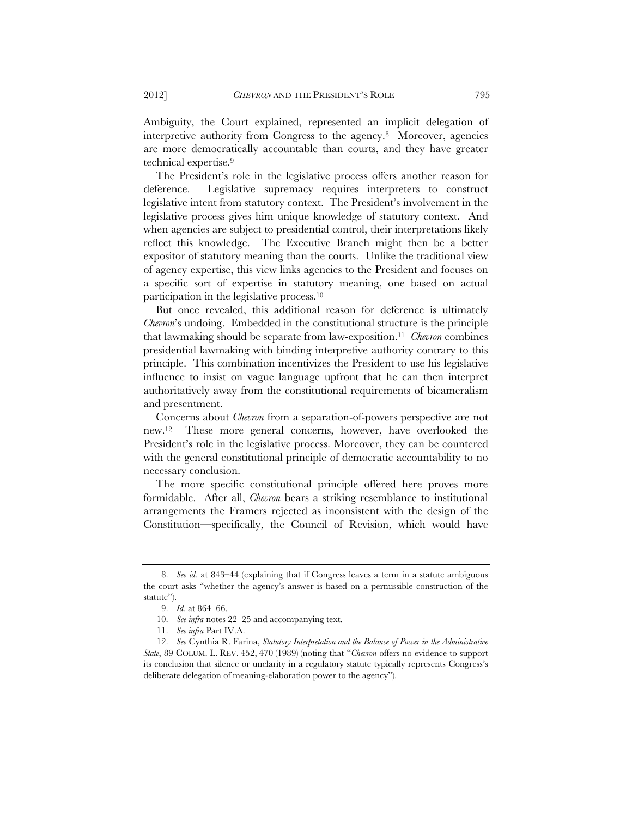Ambiguity, the Court explained, represented an implicit delegation of interpretive authority from Congress to the agency.8 Moreover, agencies are more democratically accountable than courts, and they have greater technical expertise.9

The President's role in the legislative process offers another reason for deference. Legislative supremacy requires interpreters to construct legislative intent from statutory context. The President's involvement in the legislative process gives him unique knowledge of statutory context. And when agencies are subject to presidential control, their interpretations likely reflect this knowledge. The Executive Branch might then be a better expositor of statutory meaning than the courts. Unlike the traditional view of agency expertise, this view links agencies to the President and focuses on a specific sort of expertise in statutory meaning, one based on actual participation in the legislative process.10

But once revealed, this additional reason for deference is ultimately *Chevron*'s undoing. Embedded in the constitutional structure is the principle that lawmaking should be separate from law-exposition.11 *Chevron* combines presidential lawmaking with binding interpretive authority contrary to this principle. This combination incentivizes the President to use his legislative influence to insist on vague language upfront that he can then interpret authoritatively away from the constitutional requirements of bicameralism and presentment.

Concerns about *Chevron* from a separation-of-powers perspective are not new.12 These more general concerns, however, have overlooked the President's role in the legislative process. Moreover, they can be countered with the general constitutional principle of democratic accountability to no necessary conclusion.

The more specific constitutional principle offered here proves more formidable. After all, *Chevron* bears a striking resemblance to institutional arrangements the Framers rejected as inconsistent with the design of the Constitution—specifically, the Council of Revision, which would have

 <sup>8.</sup> *See id.* at 843–44 (explaining that if Congress leaves a term in a statute ambiguous the court asks "whether the agency's answer is based on a permissible construction of the statute").

 <sup>9.</sup> *Id.* at 864–66.

 <sup>10.</sup> *See infra* notes 22–25 and accompanying text.

 <sup>11.</sup> *See infra* Part IV.A.

 <sup>12.</sup> *See* Cynthia R. Farina, *Statutory Interpretation and the Balance of Power in the Administrative State*, 89 COLUM. L. REV. 452, 470 (1989) (noting that "*Chevron* offers no evidence to support its conclusion that silence or unclarity in a regulatory statute typically represents Congress's deliberate delegation of meaning-elaboration power to the agency").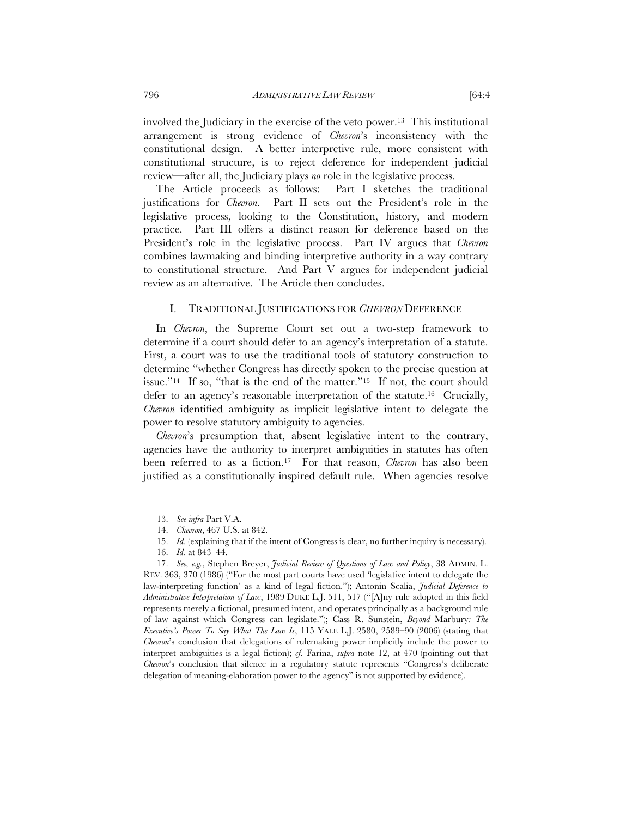involved the Judiciary in the exercise of the veto power.13 This institutional arrangement is strong evidence of *Chevron*'s inconsistency with the constitutional design. A better interpretive rule, more consistent with constitutional structure, is to reject deference for independent judicial review—after all, the Judiciary plays *no* role in the legislative process.

The Article proceeds as follows: Part I sketches the traditional justifications for *Chevron*. Part II sets out the President's role in the legislative process, looking to the Constitution, history, and modern practice. Part III offers a distinct reason for deference based on the President's role in the legislative process. Part IV argues that *Chevron* combines lawmaking and binding interpretive authority in a way contrary to constitutional structure. And Part V argues for independent judicial review as an alternative. The Article then concludes.

#### I. TRADITIONAL JUSTIFICATIONS FOR *CHEVRON* DEFERENCE

In *Chevron*, the Supreme Court set out a two-step framework to determine if a court should defer to an agency's interpretation of a statute. First, a court was to use the traditional tools of statutory construction to determine "whether Congress has directly spoken to the precise question at issue."<sup>14</sup> If so, "that is the end of the matter."<sup>15</sup> If not, the court should defer to an agency's reasonable interpretation of the statute.16 Crucially, *Chevron* identified ambiguity as implicit legislative intent to delegate the power to resolve statutory ambiguity to agencies.

*Chevron*'s presumption that, absent legislative intent to the contrary, agencies have the authority to interpret ambiguities in statutes has often been referred to as a fiction.17 For that reason, *Chevron* has also been justified as a constitutionally inspired default rule. When agencies resolve

 <sup>13.</sup> *See infra* Part V.A.

 <sup>14.</sup> *Chevron*, 467 U.S. at 842.

 <sup>15.</sup> *Id.* (explaining that if the intent of Congress is clear, no further inquiry is necessary).

 <sup>16.</sup> *Id.* at 843–44.

 <sup>17.</sup> *See, e.g.*, Stephen Breyer, *Judicial Review of Questions of Law and Policy*, 38 ADMIN. L. REV. 363, 370 (1986) ("For the most part courts have used 'legislative intent to delegate the law-interpreting function' as a kind of legal fiction."); Antonin Scalia, *Judicial Deference to Administrative Interpretation of Law*, 1989 DUKE L.J. 511, 517 ("[A]ny rule adopted in this field represents merely a fictional, presumed intent, and operates principally as a background rule of law against which Congress can legislate."); Cass R. Sunstein, *Beyond* Marbury*: The Executive's Power To Say What The Law Is*, 115 YALE L.J. 2580, 2589–90 (2006) (stating that *Chevron*'s conclusion that delegations of rulemaking power implicitly include the power to interpret ambiguities is a legal fiction); *cf*. Farina, *supra* note 12, at 470 (pointing out that *Chevron*'s conclusion that silence in a regulatory statute represents "Congress's deliberate delegation of meaning-elaboration power to the agency" is not supported by evidence).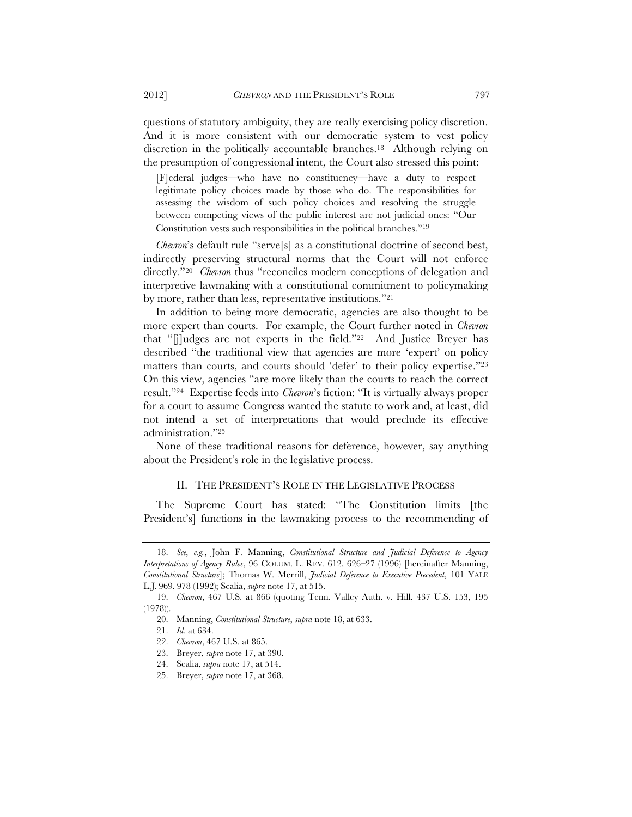questions of statutory ambiguity, they are really exercising policy discretion. And it is more consistent with our democratic system to vest policy discretion in the politically accountable branches.18 Although relying on the presumption of congressional intent, the Court also stressed this point:

[F]ederal judges—who have no constituency—have a duty to respect legitimate policy choices made by those who do. The responsibilities for assessing the wisdom of such policy choices and resolving the struggle between competing views of the public interest are not judicial ones: "Our Constitution vests such responsibilities in the political branches."19

*Chevron*'s default rule "serve<sup>[s]</sup> as a constitutional doctrine of second best, indirectly preserving structural norms that the Court will not enforce directly."<sup>20</sup> *Chevron* thus "reconciles modern conceptions of delegation and interpretive lawmaking with a constitutional commitment to policymaking by more, rather than less, representative institutions."21

In addition to being more democratic, agencies are also thought to be more expert than courts. For example, the Court further noted in *Chevron* that "[j]udges are not experts in the field."22 And Justice Breyer has described "the traditional view that agencies are more 'expert' on policy matters than courts, and courts should 'defer' to their policy expertise."23 On this view, agencies "are more likely than the courts to reach the correct result."24 Expertise feeds into *Chevron*'s fiction: "It is virtually always proper for a court to assume Congress wanted the statute to work and, at least, did not intend a set of interpretations that would preclude its effective administration."25

None of these traditional reasons for deference, however, say anything about the President's role in the legislative process.

## II. THE PRESIDENT'S ROLE IN THE LEGISLATIVE PROCESS

The Supreme Court has stated: "The Constitution limits [the President's] functions in the lawmaking process to the recommending of

 <sup>18.</sup> *See, e.g.*, John F. Manning, *Constitutional Structure and Judicial Deference to Agency Interpretations of Agency Rules*, 96 COLUM. L. REV. 612, 626–27 (1996) [hereinafter Manning, *Constitutional Structure*]; Thomas W. Merrill, *Judicial Deference to Executive Precedent*, 101 YALE L.J. 969, 978 (1992); Scalia, *supra* note 17, at 515.

 <sup>19.</sup> *Chevron*, 467 U.S. at 866 (quoting Tenn. Valley Auth. v. Hill, 437 U.S. 153, 195 (1978)).

 <sup>20.</sup> Manning, *Constitutional Structure*, *supra* note 18, at 633.

 <sup>21.</sup> *Id.* at 634.

 <sup>22.</sup> *Chevron*, 467 U.S. at 865.

 <sup>23.</sup> Breyer, *supra* note 17, at 390.

 <sup>24.</sup> Scalia, *supra* note 17, at 514.

 <sup>25.</sup> Breyer, *supra* note 17, at 368.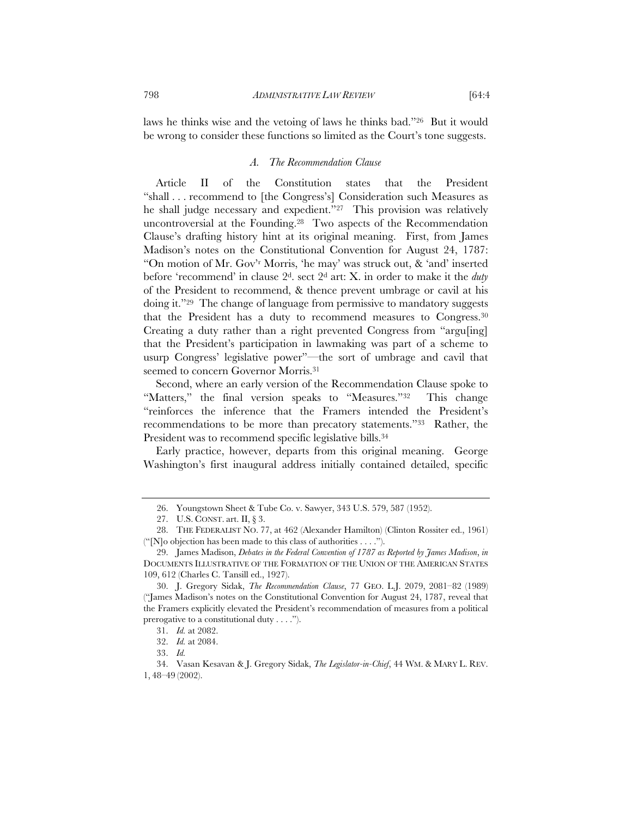laws he thinks wise and the vetoing of laws he thinks bad."26 But it would be wrong to consider these functions so limited as the Court's tone suggests.

#### *A. The Recommendation Clause*

Article II of the Constitution states that the President "shall . . . recommend to [the Congress's] Consideration such Measures as he shall judge necessary and expedient."27 This provision was relatively uncontroversial at the Founding.28 Two aspects of the Recommendation Clause's drafting history hint at its original meaning. First, from James Madison's notes on the Constitutional Convention for August 24, 1787: "On motion of Mr. Gov'r Morris, 'he may' was struck out, & 'and' inserted before 'recommend' in clause 2d. sect 2d art: X. in order to make it the *duty*  of the President to recommend, & thence prevent umbrage or cavil at his doing it."29 The change of language from permissive to mandatory suggests that the President has a duty to recommend measures to Congress.30 Creating a duty rather than a right prevented Congress from "argu[ing] that the President's participation in lawmaking was part of a scheme to usurp Congress' legislative power"—the sort of umbrage and cavil that seemed to concern Governor Morris.31

Second, where an early version of the Recommendation Clause spoke to "Matters," the final version speaks to "Measures."<sup>32</sup> This change "reinforces the inference that the Framers intended the President's recommendations to be more than precatory statements."33 Rather, the President was to recommend specific legislative bills.<sup>34</sup>

Early practice, however, departs from this original meaning. George Washington's first inaugural address initially contained detailed, specific

 <sup>26.</sup> Youngstown Sheet & Tube Co. v. Sawyer, 343 U.S. 579, 587 (1952).

 <sup>27.</sup> U.S. CONST. art. II, § 3.

 <sup>28.</sup> THE FEDERALIST NO. 77, at 462 (Alexander Hamilton) (Clinton Rossiter ed., 1961) ("[N]o objection has been made to this class of authorities . . . .").

 <sup>29.</sup> James Madison, *Debates in the Federal Convention of 1787 as Reported by James Madison*, *in* DOCUMENTS ILLUSTRATIVE OF THE FORMATION OF THE UNION OF THE AMERICAN STATES 109, 612 (Charles C. Tansill ed., 1927).

 <sup>30.</sup> J. Gregory Sidak, *The Recommendation Clause*, 77 GEO. L.J. 2079, 2081–82 (1989) ("James Madison's notes on the Constitutional Convention for August 24, 1787, reveal that the Framers explicitly elevated the President's recommendation of measures from a political prerogative to a constitutional duty . . . .").

 <sup>31.</sup> *Id.* at 2082.

 <sup>32.</sup> *Id.* at 2084.

 <sup>33.</sup> *Id.* 

 <sup>34.</sup> Vasan Kesavan & J. Gregory Sidak, *The Legislator-in-Chief*, 44 WM. & MARY L. REV. 1, 48–49 (2002).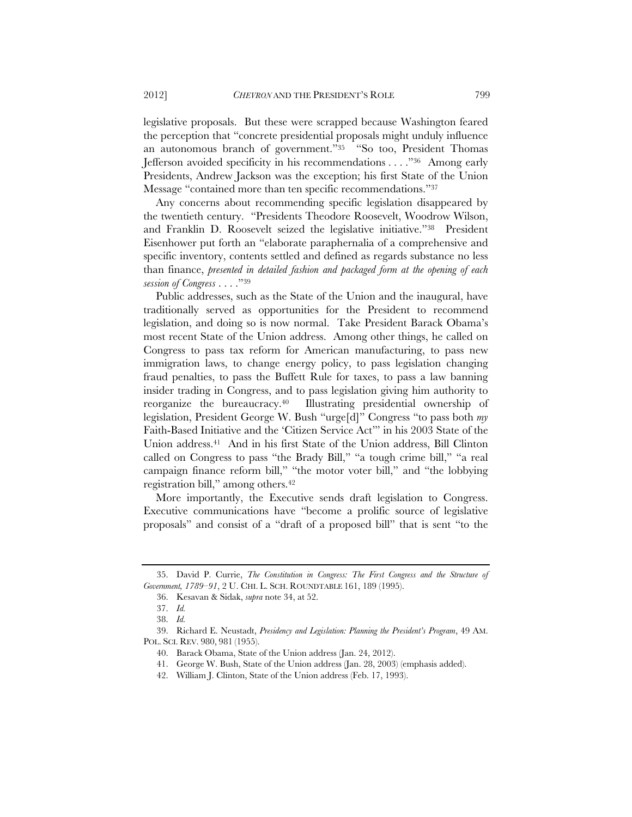legislative proposals. But these were scrapped because Washington feared the perception that "concrete presidential proposals might unduly influence an autonomous branch of government."35 "So too, President Thomas Jefferson avoided specificity in his recommendations . . . ."36 Among early Presidents, Andrew Jackson was the exception; his first State of the Union Message "contained more than ten specific recommendations."37

Any concerns about recommending specific legislation disappeared by the twentieth century. "Presidents Theodore Roosevelt, Woodrow Wilson, and Franklin D. Roosevelt seized the legislative initiative."38 President Eisenhower put forth an "elaborate paraphernalia of a comprehensive and specific inventory, contents settled and defined as regards substance no less than finance, *presented in detailed fashion and packaged form at the opening of each session of Congress* . . . ."39

Public addresses, such as the State of the Union and the inaugural, have traditionally served as opportunities for the President to recommend legislation, and doing so is now normal. Take President Barack Obama's most recent State of the Union address. Among other things, he called on Congress to pass tax reform for American manufacturing, to pass new immigration laws, to change energy policy, to pass legislation changing fraud penalties, to pass the Buffett Rule for taxes, to pass a law banning insider trading in Congress, and to pass legislation giving him authority to reorganize the bureaucracy.40 Illustrating presidential ownership of legislation, President George W. Bush "urge[d]" Congress "to pass both *my*  Faith-Based Initiative and the 'Citizen Service Act'" in his 2003 State of the Union address.41 And in his first State of the Union address, Bill Clinton called on Congress to pass "the Brady Bill," "a tough crime bill," "a real campaign finance reform bill," "the motor voter bill," and "the lobbying registration bill," among others.42

More importantly, the Executive sends draft legislation to Congress. Executive communications have "become a prolific source of legislative proposals" and consist of a "draft of a proposed bill" that is sent "to the

 <sup>35.</sup> David P. Currie, *The Constitution in Congress: The First Congress and the Structure of Government, 1789–91*, 2 U. CHI. L. SCH. ROUNDTABLE 161, 189 (1995).

 <sup>36.</sup> Kesavan & Sidak, *supra* note 34, at 52.

 <sup>37.</sup> *Id.* 

 <sup>38.</sup> *Id.* 

 <sup>39.</sup> Richard E. Neustadt, *Presidency and Legislation: Planning the President's Program*, 49 AM. POL. SCI. REV. 980, 981 (1955).

 <sup>40.</sup> Barack Obama, State of the Union address (Jan. 24, 2012).

 <sup>41.</sup> George W. Bush, State of the Union address (Jan. 28, 2003) (emphasis added).

 <sup>42.</sup> William J. Clinton, State of the Union address (Feb. 17, 1993).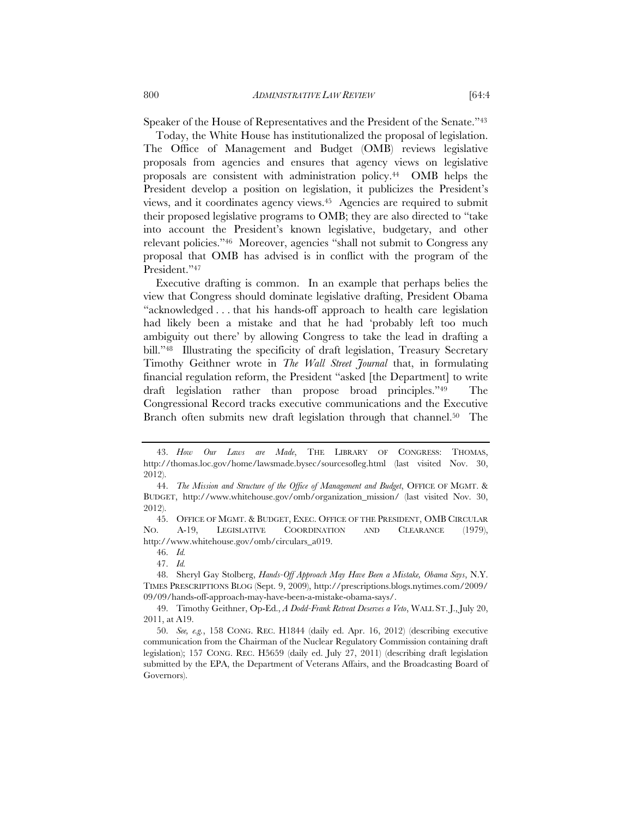Speaker of the House of Representatives and the President of the Senate."43

Today, the White House has institutionalized the proposal of legislation. The Office of Management and Budget (OMB) reviews legislative proposals from agencies and ensures that agency views on legislative proposals are consistent with administration policy.44 OMB helps the President develop a position on legislation, it publicizes the President's views, and it coordinates agency views.45 Agencies are required to submit their proposed legislative programs to OMB; they are also directed to "take into account the President's known legislative, budgetary, and other relevant policies."46 Moreover, agencies "shall not submit to Congress any proposal that OMB has advised is in conflict with the program of the President."47

Executive drafting is common. In an example that perhaps belies the view that Congress should dominate legislative drafting, President Obama "acknowledged . . . that his hands-off approach to health care legislation had likely been a mistake and that he had 'probably left too much ambiguity out there' by allowing Congress to take the lead in drafting a bill."<sup>48</sup> Illustrating the specificity of draft legislation, Treasury Secretary Timothy Geithner wrote in *The Wall Street Journal* that, in formulating financial regulation reform, the President "asked [the Department] to write draft legislation rather than propose broad principles."49 The Congressional Record tracks executive communications and the Executive Branch often submits new draft legislation through that channel.<sup>50</sup> The

47. *Id.*

 <sup>43.</sup> *How Our Laws are Made*, THE LIBRARY OF CONGRESS: THOMAS, http://thomas.loc.gov/home/lawsmade.bysec/sourcesofleg.html (last visited Nov. 30, 2012).

 <sup>44.</sup> *The Mission and Structure of the Office of Management and Budget*, OFFICE OF MGMT. & BUDGET, http://www.whitehouse.gov/omb/organization\_mission/ (last visited Nov. 30, 2012).

 <sup>45.</sup> OFFICE OF MGMT. & BUDGET, EXEC. OFFICE OF THE PRESIDENT, OMB CIRCULAR NO. A-19, LEGISLATIVE COORDINATION AND CLEARANCE (1979), http://www.whitehouse.gov/omb/circulars\_a019.

 <sup>46.</sup> *Id.*

 <sup>48.</sup> Sheryl Gay Stolberg, *Hands-Off Approach May Have Been a Mistake, Obama Says*, N.Y. TIMES PRESCRIPTIONS BLOG (Sept. 9, 2009), http://prescriptions.blogs.nytimes.com/2009/ 09/09/hands-off-approach-may-have-been-a-mistake-obama-says/.

 <sup>49.</sup> Timothy Geithner, Op-Ed., *A Dodd-Frank Retreat Deserves a Veto*, WALL ST. J., July 20, 2011, at A19.

 <sup>50.</sup> *See, e.g.*, 158 CONG. REC. H1844 (daily ed. Apr. 16, 2012) (describing executive communication from the Chairman of the Nuclear Regulatory Commission containing draft legislation); 157 CONG. REC. H5659 (daily ed. July 27, 2011) (describing draft legislation submitted by the EPA, the Department of Veterans Affairs, and the Broadcasting Board of Governors).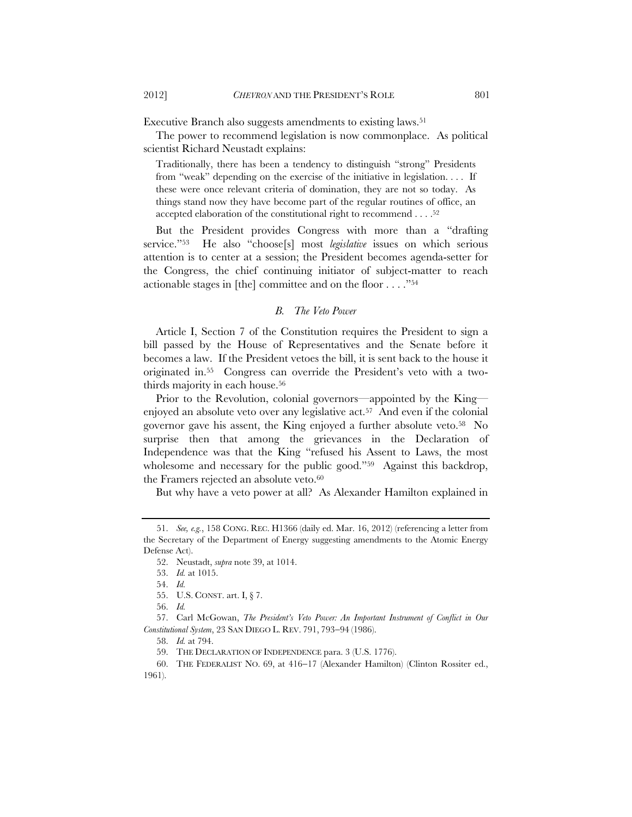Executive Branch also suggests amendments to existing laws.<sup>51</sup>

The power to recommend legislation is now commonplace. As political scientist Richard Neustadt explains:

Traditionally, there has been a tendency to distinguish "strong" Presidents from "weak" depending on the exercise of the initiative in legislation. . . . If these were once relevant criteria of domination, they are not so today. As things stand now they have become part of the regular routines of office, an accepted elaboration of the constitutional right to recommend . . . .52

But the President provides Congress with more than a "drafting service."53 He also "choose[s] most *legislative* issues on which serious attention is to center at a session; the President becomes agenda-setter for the Congress, the chief continuing initiator of subject-matter to reach actionable stages in [the] committee and on the floor . . . ."54

#### *B. The Veto Power*

Article I, Section 7 of the Constitution requires the President to sign a bill passed by the House of Representatives and the Senate before it becomes a law. If the President vetoes the bill, it is sent back to the house it originated in.55 Congress can override the President's veto with a twothirds majority in each house.56

Prior to the Revolution, colonial governors—appointed by the King enjoyed an absolute veto over any legislative act.<sup>57</sup> And even if the colonial governor gave his assent, the King enjoyed a further absolute veto.58 No surprise then that among the grievances in the Declaration of Independence was that the King "refused his Assent to Laws, the most wholesome and necessary for the public good."<sup>59</sup> Against this backdrop, the Framers rejected an absolute veto.<sup>60</sup>

But why have a veto power at all? As Alexander Hamilton explained in

 <sup>51.</sup> *See, e.g.*, 158 CONG. REC. H1366 (daily ed. Mar. 16, 2012) (referencing a letter from the Secretary of the Department of Energy suggesting amendments to the Atomic Energy Defense Act).

 <sup>52.</sup> Neustadt, *supra* note 39, at 1014.

 <sup>53.</sup> *Id.* at 1015.

 <sup>54.</sup> *Id.* 

 <sup>55.</sup> U.S. CONST. art. I, § 7.

 <sup>56.</sup> *Id.*

 <sup>57.</sup> Carl McGowan, *The President's Veto Power: An Important Instrument of Conflict in Our Constitutional System, 23 SAN DIEGO L. REV. 791, 793-94 (1986).* 

 <sup>58.</sup> *Id.* at 794.

 <sup>59.</sup> THE DECLARATION OF INDEPENDENCE para. 3 (U.S. 1776).

<sup>60.</sup> THE FEDERALIST NO. 69, at 416-17 (Alexander Hamilton) (Clinton Rossiter ed., 1961).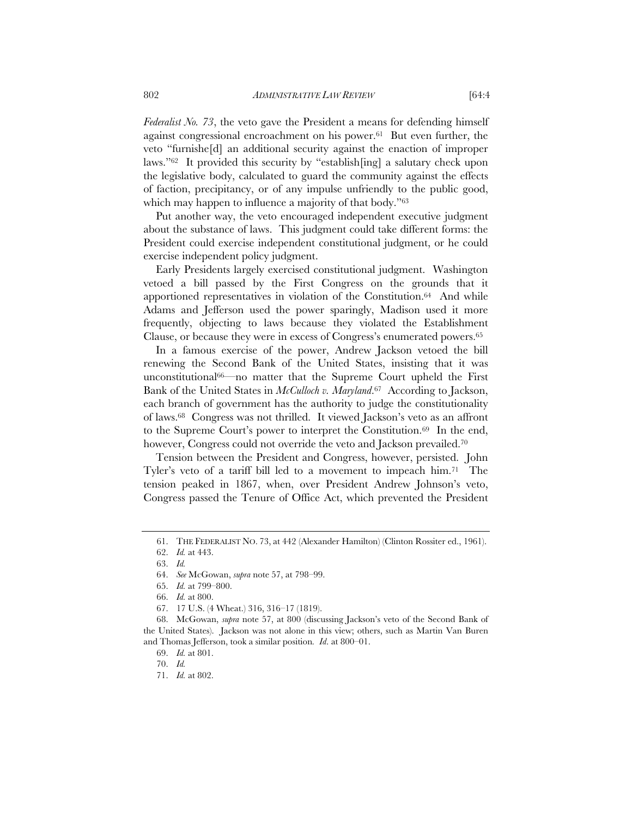*Federalist No. 73*, the veto gave the President a means for defending himself against congressional encroachment on his power.61 But even further, the veto "furnishe[d] an additional security against the enaction of improper laws."62 It provided this security by "establish[ing] a salutary check upon the legislative body, calculated to guard the community against the effects of faction, precipitancy, or of any impulse unfriendly to the public good, which may happen to influence a majority of that body."<sup>63</sup>

Put another way, the veto encouraged independent executive judgment about the substance of laws. This judgment could take different forms: the President could exercise independent constitutional judgment, or he could exercise independent policy judgment.

Early Presidents largely exercised constitutional judgment. Washington vetoed a bill passed by the First Congress on the grounds that it apportioned representatives in violation of the Constitution.64 And while Adams and Jefferson used the power sparingly, Madison used it more frequently, objecting to laws because they violated the Establishment Clause, or because they were in excess of Congress's enumerated powers.65

In a famous exercise of the power, Andrew Jackson vetoed the bill renewing the Second Bank of the United States, insisting that it was unconstitutional66—no matter that the Supreme Court upheld the First Bank of the United States in *McCulloch v. Maryland*.67 According to Jackson, each branch of government has the authority to judge the constitutionality of laws.68 Congress was not thrilled. It viewed Jackson's veto as an affront to the Supreme Court's power to interpret the Constitution.69 In the end, however, Congress could not override the veto and Jackson prevailed.<sup>70</sup>

Tension between the President and Congress, however, persisted. John Tyler's veto of a tariff bill led to a movement to impeach him.71 The tension peaked in 1867, when, over President Andrew Johnson's veto, Congress passed the Tenure of Office Act, which prevented the President

 <sup>61.</sup> THE FEDERALIST NO. 73, at 442 (Alexander Hamilton) (Clinton Rossiter ed., 1961).

 <sup>62.</sup> *Id.* at 443.

 <sup>63.</sup> *Id.* 

 <sup>64.</sup> *See* McGowan, *supra* note 57, at 798–99.

 <sup>65.</sup> *Id.* at 799–800.

 <sup>66.</sup> *Id.* at 800.

 <sup>67. 17</sup> U.S. (4 Wheat.) 316, 316–17 (1819).

 <sup>68.</sup> McGowan, *supra* note 57, at 800 (discussing Jackson's veto of the Second Bank of the United States). Jackson was not alone in this view; others, such as Martin Van Buren and Thomas Jefferson, took a similar position*. Id*. at 800–01.

 <sup>69.</sup> *Id.* at 801.

 <sup>70.</sup> *Id.*

 <sup>71.</sup> *Id.* at 802.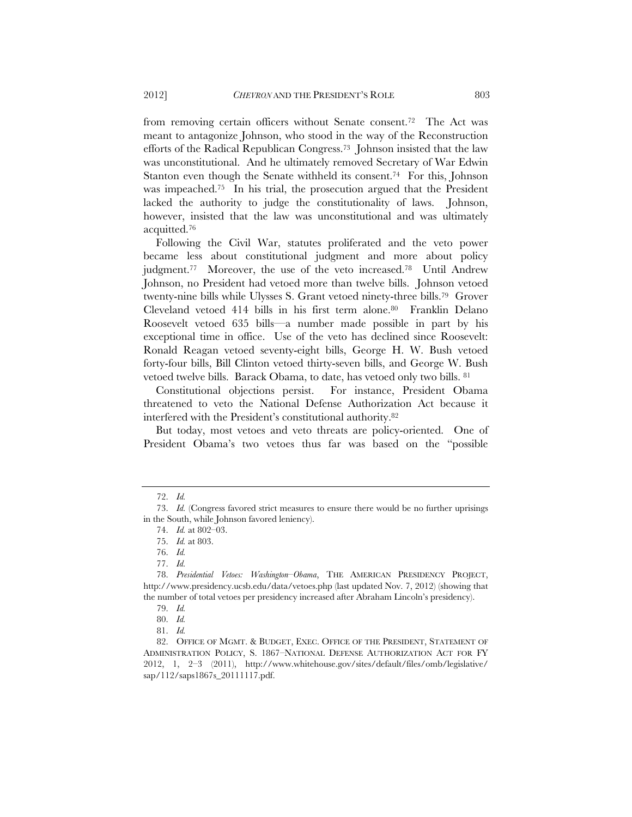from removing certain officers without Senate consent.72 The Act was meant to antagonize Johnson, who stood in the way of the Reconstruction efforts of the Radical Republican Congress.73 Johnson insisted that the law was unconstitutional. And he ultimately removed Secretary of War Edwin Stanton even though the Senate withheld its consent.74 For this, Johnson was impeached.<sup>75</sup> In his trial, the prosecution argued that the President lacked the authority to judge the constitutionality of laws. Johnson, however, insisted that the law was unconstitutional and was ultimately acquitted.76

Following the Civil War, statutes proliferated and the veto power became less about constitutional judgment and more about policy judgment.77 Moreover, the use of the veto increased.78 Until Andrew Johnson, no President had vetoed more than twelve bills. Johnson vetoed twenty-nine bills while Ulysses S. Grant vetoed ninety-three bills.79 Grover Cleveland vetoed 414 bills in his first term alone.80 Franklin Delano Roosevelt vetoed 635 bills—a number made possible in part by his exceptional time in office. Use of the veto has declined since Roosevelt: Ronald Reagan vetoed seventy-eight bills, George H. W. Bush vetoed forty-four bills, Bill Clinton vetoed thirty-seven bills, and George W. Bush vetoed twelve bills. Barack Obama, to date, has vetoed only two bills. 81

Constitutional objections persist. For instance, President Obama threatened to veto the National Defense Authorization Act because it interfered with the President's constitutional authority.82

But today, most vetoes and veto threats are policy-oriented. One of President Obama's two vetoes thus far was based on the "possible

 <sup>72.</sup> *Id.* 

 <sup>73.</sup> *Id.* (Congress favored strict measures to ensure there would be no further uprisings in the South, while Johnson favored leniency).

 <sup>74.</sup> *Id.* at 802–03.

 <sup>75.</sup> *Id.* at 803.

 <sup>76.</sup> *Id.*

 <sup>77.</sup> *Id.* 

 <sup>78.</sup> *Presidential Vetoes: Washington–Obama*, THE AMERICAN PRESIDENCY PROJECT, http://www.presidency.ucsb.edu/data/vetoes.php (last updated Nov. 7, 2012) (showing that the number of total vetoes per presidency increased after Abraham Lincoln's presidency).

 <sup>79.</sup> *Id.* 

 <sup>80.</sup> *Id.* 

 <sup>81.</sup> *Id.*

 <sup>82.</sup> OFFICE OF MGMT. & BUDGET, EXEC. OFFICE OF THE PRESIDENT, STATEMENT OF ADMINISTRATION POLICY, S. 1867–NATIONAL DEFENSE AUTHORIZATION ACT FOR FY 2012, 1, 2–3 (2011), http://www.whitehouse.gov/sites/default/files/omb/legislative/ sap/112/saps1867s\_20111117.pdf.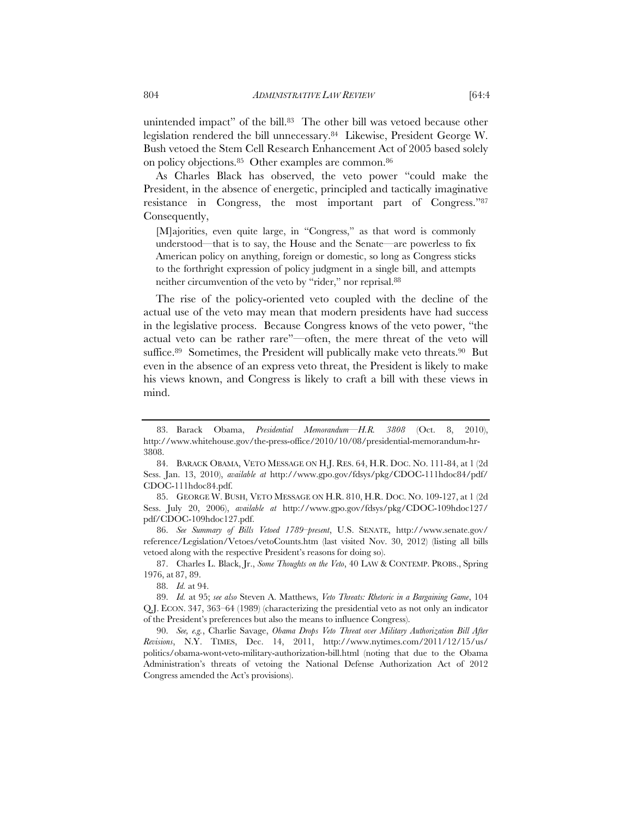unintended impact" of the bill.83 The other bill was vetoed because other legislation rendered the bill unnecessary.84 Likewise, President George W. Bush vetoed the Stem Cell Research Enhancement Act of 2005 based solely on policy objections.85 Other examples are common.86

As Charles Black has observed, the veto power "could make the President, in the absence of energetic, principled and tactically imaginative resistance in Congress, the most important part of Congress."87 Consequently,

[M]ajorities, even quite large, in "Congress," as that word is commonly understood—that is to say, the House and the Senate—are powerless to fix American policy on anything, foreign or domestic, so long as Congress sticks to the forthright expression of policy judgment in a single bill, and attempts neither circumvention of the veto by "rider," nor reprisal.88

The rise of the policy-oriented veto coupled with the decline of the actual use of the veto may mean that modern presidents have had success in the legislative process.Because Congress knows of the veto power, "the actual veto can be rather rare"—often, the mere threat of the veto will suffice.<sup>89</sup> Sometimes, the President will publically make veto threats.<sup>90</sup> But even in the absence of an express veto threat, the President is likely to make his views known, and Congress is likely to craft a bill with these views in mind.

 86. *See Summary of Bills Vetoed 1789–present*, U.S. SENATE, http://www.senate.gov/ reference/Legislation/Vetoes/vetoCounts.htm (last visited Nov. 30, 2012) (listing all bills vetoed along with the respective President's reasons for doing so).

 87. Charles L. Black, Jr., *Some Thoughts on the Veto*, 40 LAW & CONTEMP. PROBS., Spring 1976, at 87, 89.

 <sup>83.</sup> Barack Obama, *Presidential Memorandum—H.R. 3808* (Oct. 8, 2010), http://www.whitehouse.gov/the-press-office/2010/10/08/presidential-memorandum-hr-3808.

 <sup>84.</sup> BARACK OBAMA, VETO MESSAGE ON H.J. RES. 64, H.R. DOC. NO. 111-84, at 1 (2d Sess. Jan. 13, 2010), *available at* http://www.gpo.gov/fdsys/pkg/CDOC-111hdoc84/pdf/ CDOC-111hdoc84.pdf.

 <sup>85.</sup> GEORGE W. BUSH, VETO MESSAGE ON H.R. 810, H.R. DOC. NO. 109-127, at 1 (2d Sess. July 20, 2006), *available at* http://www.gpo.gov/fdsys/pkg/CDOC-109hdoc127/ pdf/CDOC-109hdoc127.pdf.

 <sup>88.</sup> *Id.* at 94.

 <sup>89.</sup> *Id.* at 95; *see also* Steven A. Matthews, *Veto Threats: Rhetoric in a Bargaining Game*, 104 Q.J. ECON. 347, 363–64 (1989) (characterizing the presidential veto as not only an indicator of the President's preferences but also the means to influence Congress).

 <sup>90.</sup> *See, e.g.*, Charlie Savage, *Obama Drops Veto Threat over Military Authorization Bill After Revisions*, N.Y. TIMES, Dec. 14, 2011, http://www.nytimes.com/2011/12/15/us/ politics/obama-wont-veto-military-authorization-bill.html (noting that due to the Obama Administration's threats of vetoing the National Defense Authorization Act of 2012 Congress amended the Act's provisions).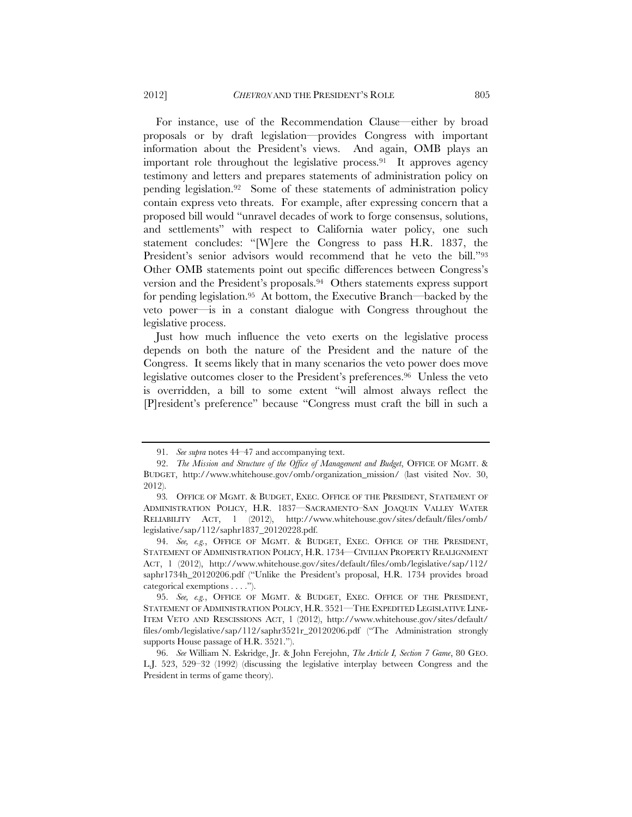For instance, use of the Recommendation Clause—either by broad proposals or by draft legislation—provides Congress with important information about the President's views. And again, OMB plays an important role throughout the legislative process.91 It approves agency testimony and letters and prepares statements of administration policy on pending legislation.92 Some of these statements of administration policy contain express veto threats. For example, after expressing concern that a proposed bill would "unravel decades of work to forge consensus, solutions, and settlements" with respect to California water policy, one such statement concludes: "[W]ere the Congress to pass H.R. 1837, the President's senior advisors would recommend that he veto the bill."93 Other OMB statements point out specific differences between Congress's version and the President's proposals.94 Others statements express support for pending legislation.95 At bottom, the Executive Branch—backed by the veto power—is in a constant dialogue with Congress throughout the legislative process.

Just how much influence the veto exerts on the legislative process depends on both the nature of the President and the nature of the Congress. It seems likely that in many scenarios the veto power does move legislative outcomes closer to the President's preferences.96 Unless the veto is overridden, a bill to some extent "will almost always reflect the [P]resident's preference" because "Congress must craft the bill in such a

 <sup>91.</sup> *See supra* notes 44–47 and accompanying text.

 <sup>92.</sup> *The Mission and Structure of the Office of Management and Budget*, OFFICE OF MGMT. & BUDGET, http://www.whitehouse.gov/omb/organization\_mission/ (last visited Nov. 30, 2012).

<sup>93</sup>*.* OFFICE OF MGMT. & BUDGET, EXEC. OFFICE OF THE PRESIDENT, STATEMENT OF ADMINISTRATION POLICY, H.R. 1837—SACRAMENTO–SAN JOAQUIN VALLEY WATER RELIABILITY ACT, 1 (2012), http://www.whitehouse.gov/sites/default/files/omb/ legislative/sap/112/saphr1837\_20120228.pdf.

 <sup>94.</sup> *See, e.g.*, OFFICE OF MGMT. & BUDGET, EXEC. OFFICE OF THE PRESIDENT, STATEMENT OF ADMINISTRATION POLICY, H.R. 1734—CIVILIAN PROPERTY REALIGNMENT ACT, 1 (2012), http://www.whitehouse.gov/sites/default/files/omb/legislative/sap/112/ saphr1734h\_20120206.pdf ("Unlike the President's proposal, H.R. 1734 provides broad categorical exemptions . . . .").

 <sup>95.</sup> *See, e.g.*, OFFICE OF MGMT. & BUDGET, EXEC. OFFICE OF THE PRESIDENT, STATEMENT OF ADMINISTRATION POLICY, H.R. 3521—THE EXPEDITED LEGISLATIVE LINE-ITEM VETO AND RESCISSIONS ACT, 1 (2012), http://www.whitehouse.gov/sites/default/ files/omb/legislative/sap/112/saphr3521r\_20120206.pdf ("The Administration strongly supports House passage of H.R. 3521.").

 <sup>96.</sup> *See* William N. Eskridge, Jr. & John Ferejohn, *The Article I, Section 7 Game*, 80 GEO. L.J. 523, 529–32 (1992) (discussing the legislative interplay between Congress and the President in terms of game theory).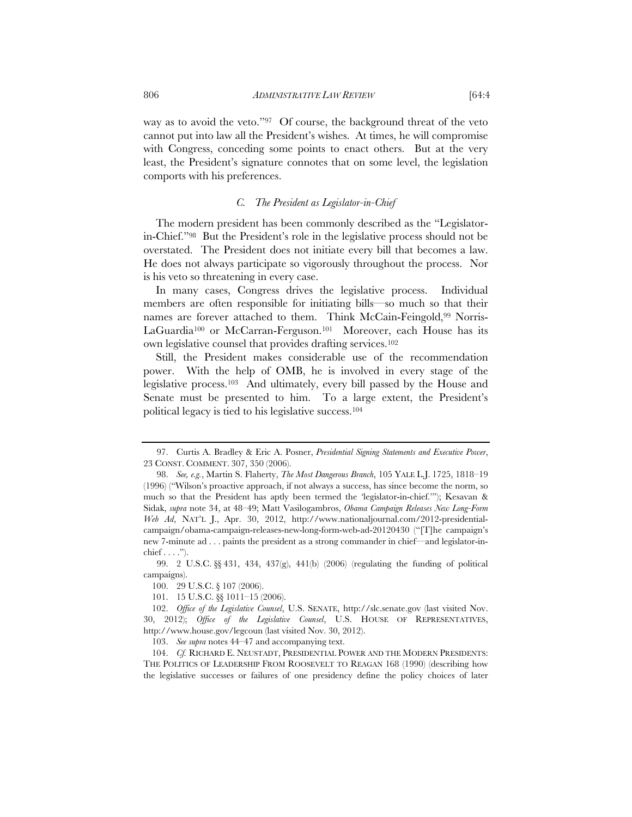way as to avoid the veto."<sup>97</sup> Of course, the background threat of the veto cannot put into law all the President's wishes. At times, he will compromise with Congress, conceding some points to enact others. But at the very least, the President's signature connotes that on some level, the legislation comports with his preferences.

## *C. The President as Legislator-in-Chief*

The modern president has been commonly described as the "Legislatorin-Chief."98 But the President's role in the legislative process should not be overstated. The President does not initiate every bill that becomes a law. He does not always participate so vigorously throughout the process. Nor is his veto so threatening in every case.

In many cases, Congress drives the legislative process. Individual members are often responsible for initiating bills—so much so that their names are forever attached to them. Think McCain-Feingold,99 Norris-LaGuardia<sup>100</sup> or McCarran-Ferguson.<sup>101</sup> Moreover, each House has its own legislative counsel that provides drafting services.102

Still, the President makes considerable use of the recommendation power. With the help of OMB, he is involved in every stage of the legislative process.103 And ultimately, every bill passed by the House and Senate must be presented to him. To a large extent, the President's political legacy is tied to his legislative success.104

 <sup>97.</sup> Curtis A. Bradley & Eric A. Posner, *Presidential Signing Statements and Executive Power*, 23 CONST. COMMENT. 307, 350 (2006).

 <sup>98.</sup> *See, e.g.*, Martin S. Flaherty, *The Most Dangerous Branch*, 105 YALE L.J. 1725, 1818–19 (1996) ("Wilson's proactive approach, if not always a success, has since become the norm, so much so that the President has aptly been termed the 'legislator-in-chief.'"); Kesavan & Sidak, *supra* note 34, at 48–49; Matt Vasilogambros, *Obama Campaign Releases New Long-Form Web Ad*, NAT'L J., Apr. 30, 2012, http://www.nationaljournal.com/2012-presidentialcampaign/obama-campaign-releases-new-long-form-web-ad-20120430 ("[T]he campaign's new 7-minute ad . . . paints the president as a strong commander in chief—and legislator-in- $\text{chief} \dots$ ").

 <sup>99. 2</sup> U.S.C. §§ 431, 434, 437(g), 441(b) (2006) (regulating the funding of political campaigns).

 <sup>100. 29</sup> U.S.C. § 107 (2006).

 <sup>101. 15</sup> U.S.C. §§ 1011–15 (2006).

 <sup>102.</sup> *Office of the Legislative Counsel*, U.S. SENATE, http://slc.senate.gov (last visited Nov. 30, 2012); *Office of the Legislative Counsel*, U.S. HOUSE OF REPRESENTATIVES, http://www.house.gov/legcoun (last visited Nov. 30, 2012).

 <sup>103.</sup> *See supra* notes 44–47 and accompanying text.

 <sup>104.</sup> *Cf.* RICHARD E. NEUSTADT, PRESIDENTIAL POWER AND THE MODERN PRESIDENTS: THE POLITICS OF LEADERSHIP FROM ROOSEVELT TO REAGAN 168 (1990) (describing how the legislative successes or failures of one presidency define the policy choices of later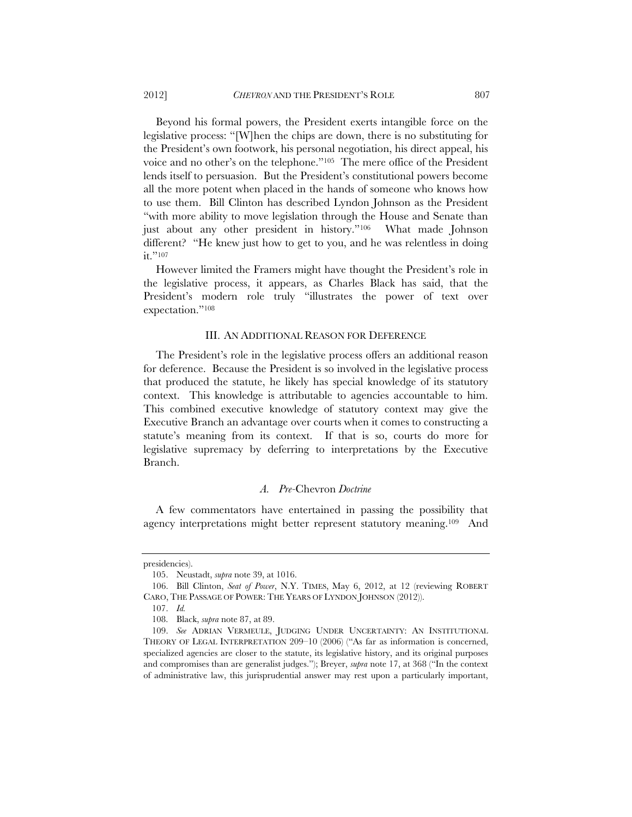Beyond his formal powers, the President exerts intangible force on the legislative process: "[W]hen the chips are down, there is no substituting for the President's own footwork, his personal negotiation, his direct appeal, his voice and no other's on the telephone."105 The mere office of the President lends itself to persuasion. But the President's constitutional powers become all the more potent when placed in the hands of someone who knows how to use them. Bill Clinton has described Lyndon Johnson as the President "with more ability to move legislation through the House and Senate than just about any other president in history."106 What made Johnson different? "He knew just how to get to you, and he was relentless in doing it."<sup>107</sup>

However limited the Framers might have thought the President's role in the legislative process, it appears, as Charles Black has said, that the President's modern role truly "illustrates the power of text over expectation."108

## III. AN ADDITIONAL REASON FOR DEFERENCE

The President's role in the legislative process offers an additional reason for deference. Because the President is so involved in the legislative process that produced the statute, he likely has special knowledge of its statutory context. This knowledge is attributable to agencies accountable to him. This combined executive knowledge of statutory context may give the Executive Branch an advantage over courts when it comes to constructing a statute's meaning from its context. If that is so, courts do more for legislative supremacy by deferring to interpretations by the Executive Branch.

#### *A. Pre-*Chevron *Doctrine*

A few commentators have entertained in passing the possibility that agency interpretations might better represent statutory meaning.109 And

presidencies).

 <sup>105.</sup> Neustadt, *supra* note 39, at 1016.

 <sup>106.</sup> Bill Clinton, *Seat of Power*, N.Y. TIMES, May 6, 2012, at 12 (reviewing ROBERT CARO, THE PASSAGE OF POWER: THE YEARS OF LYNDON JOHNSON (2012)).

 <sup>107.</sup> *Id.*

 <sup>108.</sup> Black, *supra* note 87, at 89.

 <sup>109.</sup> *See* ADRIAN VERMEULE, JUDGING UNDER UNCERTAINTY: AN INSTITUTIONAL THEORY OF LEGAL INTERPRETATION 209–10 (2006) ("As far as information is concerned, specialized agencies are closer to the statute, its legislative history, and its original purposes and compromises than are generalist judges."); Breyer, *supra* note 17, at 368 ("In the context of administrative law, this jurisprudential answer may rest upon a particularly important,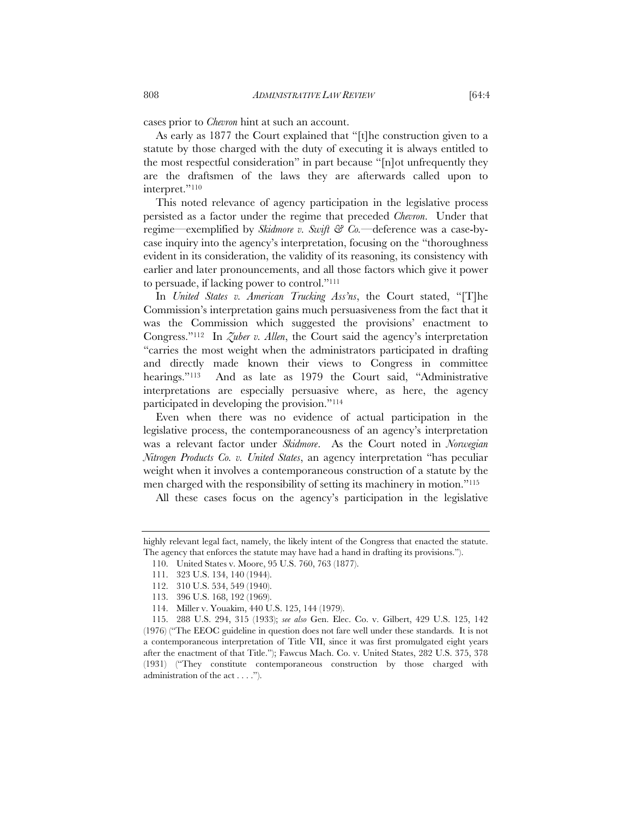cases prior to *Chevron* hint at such an account.

As early as 1877 the Court explained that "[t]he construction given to a statute by those charged with the duty of executing it is always entitled to the most respectful consideration" in part because "[n]ot unfrequently they are the draftsmen of the laws they are afterwards called upon to interpret."110

This noted relevance of agency participation in the legislative process persisted as a factor under the regime that preceded *Chevron*. Under that regime—exemplified by *Skidmore v. Swift & Co.*—deference was a case-bycase inquiry into the agency's interpretation, focusing on the "thoroughness evident in its consideration, the validity of its reasoning, its consistency with earlier and later pronouncements, and all those factors which give it power to persuade, if lacking power to control."111

In *United States v. American Trucking Ass'ns*, the Court stated, "[T]he Commission's interpretation gains much persuasiveness from the fact that it was the Commission which suggested the provisions' enactment to Congress."112 In *Zuber v. Allen*, the Court said the agency's interpretation "carries the most weight when the administrators participated in drafting and directly made known their views to Congress in committee hearings."<sup>113</sup> And as late as 1979 the Court said, "Administrative interpretations are especially persuasive where, as here, the agency participated in developing the provision."114

Even when there was no evidence of actual participation in the legislative process, the contemporaneousness of an agency's interpretation was a relevant factor under *Skidmore*. As the Court noted in *Norwegian Nitrogen Products Co. v. United States*, an agency interpretation "has peculiar weight when it involves a contemporaneous construction of a statute by the men charged with the responsibility of setting its machinery in motion."115

All these cases focus on the agency's participation in the legislative

110. United States v. Moore, 95 U.S. 760, 763 (1877).

highly relevant legal fact, namely, the likely intent of the Congress that enacted the statute. The agency that enforces the statute may have had a hand in drafting its provisions.").

 <sup>111. 323</sup> U.S. 134, 140 (1944).

 <sup>112. 310</sup> U.S. 534, 549 (1940).

 <sup>113. 396</sup> U.S. 168, 192 (1969).

 <sup>114.</sup> Miller v. Youakim, 440 U.S. 125, 144 (1979).

 <sup>115. 288</sup> U.S. 294, 315 (1933); *see also* Gen. Elec. Co. v. Gilbert, 429 U.S. 125, 142 (1976) ("The EEOC guideline in question does not fare well under these standards. It is not a contemporaneous interpretation of Title VII, since it was first promulgated eight years after the enactment of that Title."); Fawcus Mach. Co. v. United States, 282 U.S. 375, 378 (1931) ("They constitute contemporaneous construction by those charged with administration of the act . . . .").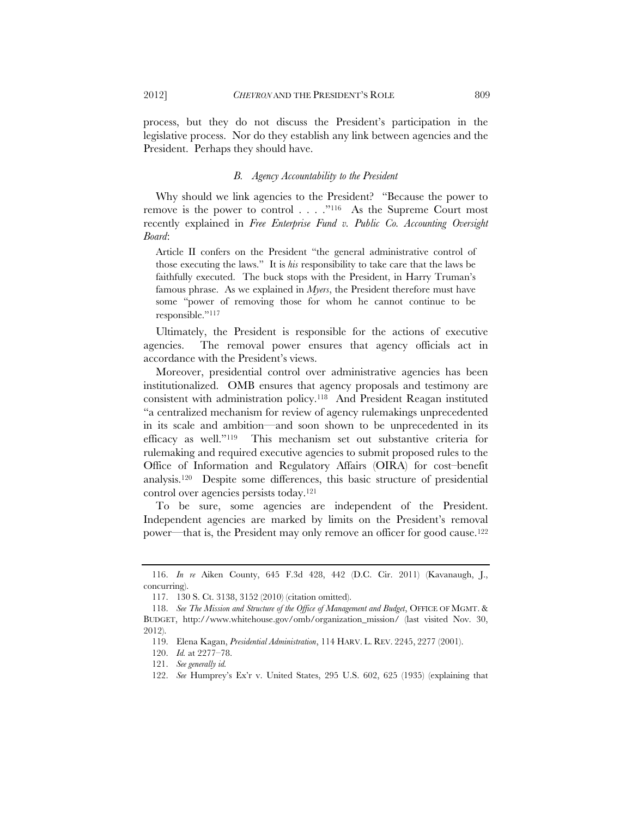2012] *CHEVRON* AND THE PRESIDENT'S ROLE 809

process, but they do not discuss the President's participation in the legislative process. Nor do they establish any link between agencies and the President. Perhaps they should have.

## *B. Agency Accountability to the President*

Why should we link agencies to the President? "Because the power to remove is the power to control . . . . "<sup>116</sup> As the Supreme Court most recently explained in *Free Enterprise Fund v. Public Co. Accounting Oversight Board*:

Article II confers on the President "the general administrative control of those executing the laws." It is *his* responsibility to take care that the laws be faithfully executed. The buck stops with the President, in Harry Truman's famous phrase. As we explained in *Myers*, the President therefore must have some "power of removing those for whom he cannot continue to be responsible."117

Ultimately, the President is responsible for the actions of executive agencies. The removal power ensures that agency officials act in accordance with the President's views.

Moreover, presidential control over administrative agencies has been institutionalized. OMB ensures that agency proposals and testimony are consistent with administration policy.118 And President Reagan instituted "a centralized mechanism for review of agency rulemakings unprecedented in its scale and ambition—and soon shown to be unprecedented in its efficacy as well."119 This mechanism set out substantive criteria for rulemaking and required executive agencies to submit proposed rules to the Office of Information and Regulatory Affairs (OIRA) for cost–benefit analysis.120 Despite some differences, this basic structure of presidential control over agencies persists today.121

To be sure, some agencies are independent of the President. Independent agencies are marked by limits on the President's removal power—that is, the President may only remove an officer for good cause.122

 <sup>116.</sup> *In re* Aiken County, 645 F.3d 428, 442 (D.C. Cir. 2011) (Kavanaugh, J., concurring).

 <sup>117. 130</sup> S. Ct. 3138, 3152 (2010) (citation omitted).

 <sup>118.</sup> *See The Mission and Structure of the Office of Management and Budget*, OFFICE OF MGMT. & BUDGET, http://www.whitehouse.gov/omb/organization\_mission/ (last visited Nov. 30, 2012).

 <sup>119.</sup> Elena Kagan, *Presidential Administration*, 114 HARV. L. REV. 2245, 2277 (2001).

 <sup>120.</sup> *Id.* at 2277–78.

 <sup>121.</sup> *See generally id.*

 <sup>122.</sup> *See* Humprey's Ex'r v. United States, 295 U.S. 602, 625 (1935) (explaining that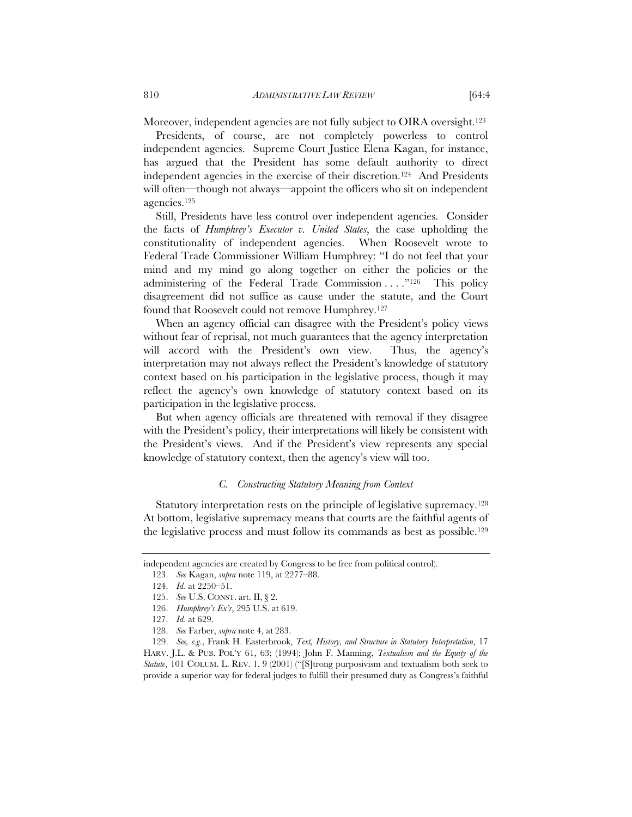Moreover, independent agencies are not fully subject to OIRA oversight.<sup>123</sup>

Presidents, of course, are not completely powerless to control independent agencies. Supreme Court Justice Elena Kagan, for instance, has argued that the President has some default authority to direct independent agencies in the exercise of their discretion.124 And Presidents will often—though not always—appoint the officers who sit on independent agencies.125

Still, Presidents have less control over independent agencies. Consider the facts of *Humphrey's Executor v. United States*, the case upholding the constitutionality of independent agencies. When Roosevelt wrote to Federal Trade Commissioner William Humphrey: "I do not feel that your mind and my mind go along together on either the policies or the administering of the Federal Trade Commission . . . . "<sup>126</sup> This policy disagreement did not suffice as cause under the statute, and the Court found that Roosevelt could not remove Humphrey.127

When an agency official can disagree with the President's policy views without fear of reprisal, not much guarantees that the agency interpretation will accord with the President's own view. Thus, the agency's interpretation may not always reflect the President's knowledge of statutory context based on his participation in the legislative process, though it may reflect the agency's own knowledge of statutory context based on its participation in the legislative process.

But when agency officials are threatened with removal if they disagree with the President's policy, their interpretations will likely be consistent with the President's views. And if the President's view represents any special knowledge of statutory context, then the agency's view will too.

### *C. Constructing Statutory Meaning from Context*

Statutory interpretation rests on the principle of legislative supremacy.<sup>128</sup> At bottom, legislative supremacy means that courts are the faithful agents of the legislative process and must follow its commands as best as possible.129

independent agencies are created by Congress to be free from political control).

 <sup>123.</sup> *See* Kagan, *supra* note 119, at 2277–88.

 <sup>124.</sup> *Id.* at 2250–51.

 <sup>125.</sup> *See* U.S. CONST. art. II, § 2.

 <sup>126.</sup> *Humphrey's Ex'r*, 295 U.S. at 619.

 <sup>127.</sup> *Id.* at 629.

 <sup>128.</sup> *See* Farber, *supra* note 4, at 283.

 <sup>129.</sup> *See, e.g.*, Frank H. Easterbrook, *Text, History, and Structure in Statutory Interpretation*, 17 HARV. J.L. & PUB. POL'Y 61, 63; (1994); John F. Manning, *Textualism and the Equity of the Statute*, 101 COLUM. L. REV. 1, 9 (2001) ("[S]trong purposivism and textualism both seek to provide a superior way for federal judges to fulfill their presumed duty as Congress's faithful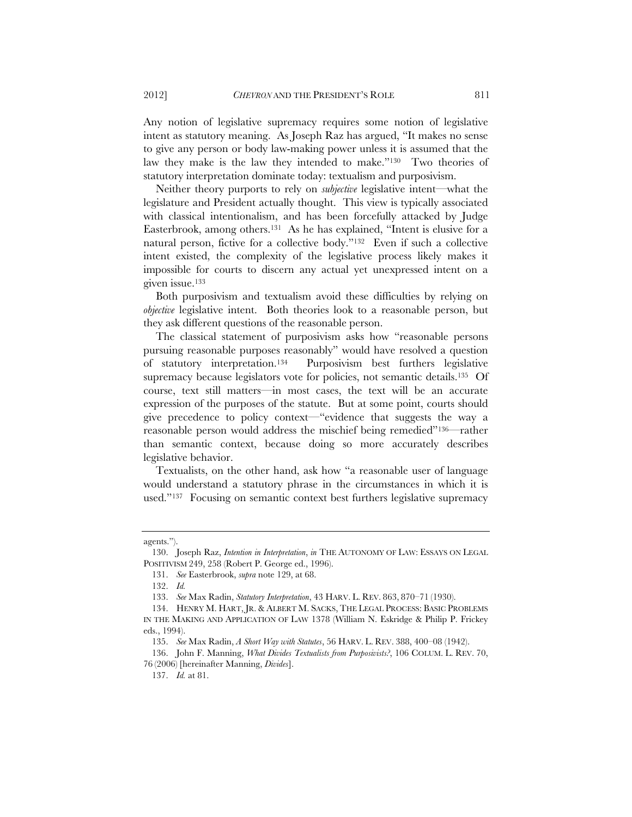Any notion of legislative supremacy requires some notion of legislative intent as statutory meaning. As Joseph Raz has argued, "It makes no sense to give any person or body law-making power unless it is assumed that the law they make is the law they intended to make."130 Two theories of statutory interpretation dominate today: textualism and purposivism.

Neither theory purports to rely on *subjective* legislative intent—what the legislature and President actually thought. This view is typically associated with classical intentionalism, and has been forcefully attacked by Judge Easterbrook, among others.131 As he has explained, "Intent is elusive for a natural person, fictive for a collective body."132 Even if such a collective intent existed, the complexity of the legislative process likely makes it impossible for courts to discern any actual yet unexpressed intent on a given issue.133

Both purposivism and textualism avoid these difficulties by relying on *objective* legislative intent. Both theories look to a reasonable person, but they ask different questions of the reasonable person.

The classical statement of purposivism asks how "reasonable persons pursuing reasonable purposes reasonably" would have resolved a question of statutory interpretation.134 Purposivism best furthers legislative supremacy because legislators vote for policies, not semantic details.<sup>135</sup> Of course, text still matters—in most cases, the text will be an accurate expression of the purposes of the statute. But at some point, courts should give precedence to policy context—"evidence that suggests the way a reasonable person would address the mischief being remedied"136—rather than semantic context, because doing so more accurately describes legislative behavior.

Textualists, on the other hand, ask how "a reasonable user of language would understand a statutory phrase in the circumstances in which it is used."137 Focusing on semantic context best furthers legislative supremacy

agents.").

 <sup>130.</sup> Joseph Raz, *Intention in Interpretation*, *in* THE AUTONOMY OF LAW: ESSAYS ON LEGAL POSITIVISM 249, 258 (Robert P. George ed., 1996).

 <sup>131.</sup> *See* Easterbrook, *supra* note 129, at 68.

 <sup>132.</sup> *Id.*

 <sup>133.</sup> *See* Max Radin, *Statutory Interpretation*, 43 HARV. L. REV. 863, 870–71 (1930).

 <sup>134.</sup> HENRY M. HART, JR. & ALBERT M. SACKS, THE LEGAL PROCESS: BASIC PROBLEMS IN THE MAKING AND APPLICATION OF LAW 1378 (William N. Eskridge & Philip P. Frickey eds., 1994).

 <sup>135.</sup> *See* Max Radin, *A Short Way with Statutes*, 56 HARV. L. REV. 388, 400–08 (1942).

 <sup>136.</sup> John F. Manning, *What Divides Textualists from Purposivists?*, 106 COLUM. L. REV. 70, 76 (2006) [hereinafter Manning, *Divides*].

 <sup>137.</sup> *Id.* at 81.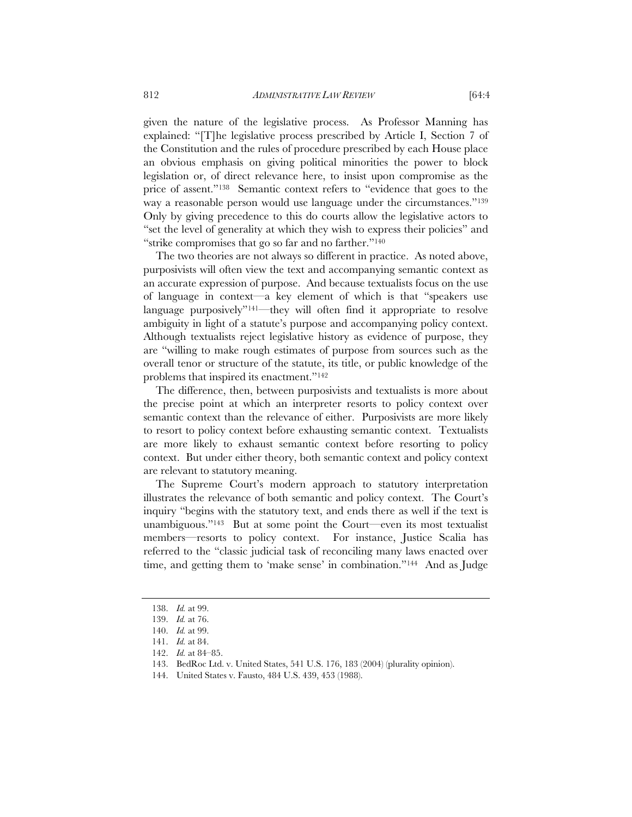given the nature of the legislative process. As Professor Manning has explained: "[T]he legislative process prescribed by Article I, Section 7 of the Constitution and the rules of procedure prescribed by each House place an obvious emphasis on giving political minorities the power to block legislation or, of direct relevance here, to insist upon compromise as the price of assent."138 Semantic context refers to "evidence that goes to the way a reasonable person would use language under the circumstances."139 Only by giving precedence to this do courts allow the legislative actors to "set the level of generality at which they wish to express their policies" and "strike compromises that go so far and no farther."140

The two theories are not always so different in practice. As noted above, purposivists will often view the text and accompanying semantic context as an accurate expression of purpose. And because textualists focus on the use of language in context—a key element of which is that "speakers use language purposively"141—they will often find it appropriate to resolve ambiguity in light of a statute's purpose and accompanying policy context. Although textualists reject legislative history as evidence of purpose, they are "willing to make rough estimates of purpose from sources such as the overall tenor or structure of the statute, its title, or public knowledge of the problems that inspired its enactment."142

The difference, then, between purposivists and textualists is more about the precise point at which an interpreter resorts to policy context over semantic context than the relevance of either. Purposivists are more likely to resort to policy context before exhausting semantic context. Textualists are more likely to exhaust semantic context before resorting to policy context. But under either theory, both semantic context and policy context are relevant to statutory meaning.

The Supreme Court's modern approach to statutory interpretation illustrates the relevance of both semantic and policy context. The Court's inquiry "begins with the statutory text, and ends there as well if the text is unambiguous."<sup>143</sup> But at some point the Court—even its most textualist members—resorts to policy context. For instance, Justice Scalia has referred to the "classic judicial task of reconciling many laws enacted over time, and getting them to 'make sense' in combination."144 And as Judge

 <sup>138.</sup> *Id.* at 99.

 <sup>139.</sup> *Id.* at 76.

 <sup>140.</sup> *Id.* at 99.

 <sup>141.</sup> *Id.* at 84.

 <sup>142.</sup> *Id.* at 84–85.

 <sup>143.</sup> BedRoc Ltd. v. United States, 541 U.S. 176, 183 (2004) (plurality opinion).

 <sup>144.</sup> United States v. Fausto, 484 U.S. 439, 453 (1988).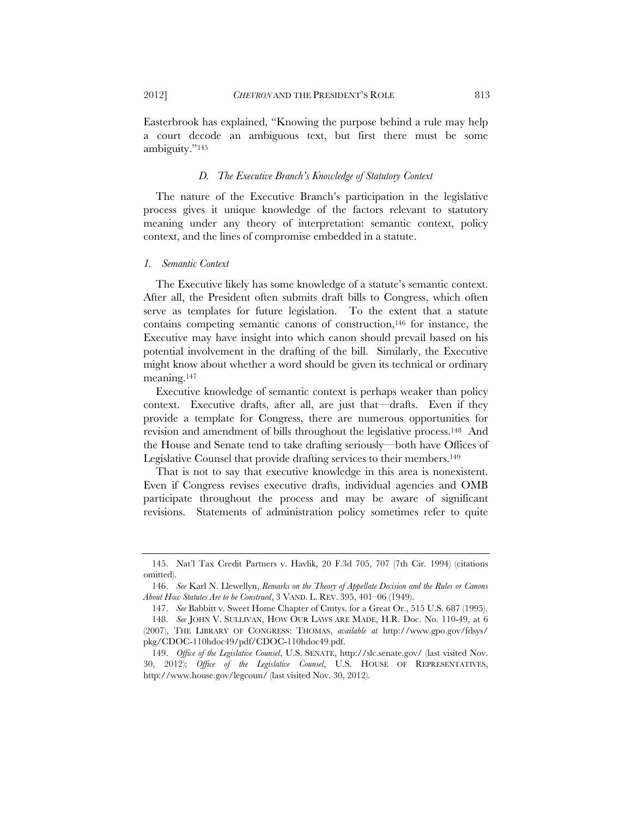Easterbrook has explained, "Knowing the purpose behind a rule may help a court decode an ambiguous text, but first there must be some ambiguity."145

#### *D. The Executive Branch's Knowledge of Statutory Context*

The nature of the Executive Branch's participation in the legislative process gives it unique knowledge of the factors relevant to statutory meaning under any theory of interpretation: semantic context, policy context, and the lines of compromise embedded in a statute.

#### *1. Semantic Context*

The Executive likely has some knowledge of a statute's semantic context. After all, the President often submits draft bills to Congress, which often serve as templates for future legislation. To the extent that a statute contains competing semantic canons of construction,146 for instance, the Executive may have insight into which canon should prevail based on his potential involvement in the drafting of the bill. Similarly, the Executive might know about whether a word should be given its technical or ordinary meaning.147

Executive knowledge of semantic context is perhaps weaker than policy context. Executive drafts, after all, are just that—drafts. Even if they provide a template for Congress, there are numerous opportunities for revision and amendment of bills throughout the legislative process.148 And the House and Senate tend to take drafting seriously—both have Offices of Legislative Counsel that provide drafting services to their members.149

That is not to say that executive knowledge in this area is nonexistent. Even if Congress revises executive drafts, individual agencies and OMB participate throughout the process and may be aware of significant revisions. Statements of administration policy sometimes refer to quite

 <sup>145.</sup> Nat'l Tax Credit Partners v. Havlik, 20 F.3d 705, 707 (7th Cir. 1994) (citations omitted).

 <sup>146.</sup> *See* Karl N. Llewellyn, *Remarks on the Theory of Appellate Decision and the Rules or Canons About How Statutes Are to be Construed*, 3 VAND. L. REV. 395, 401–06 (1949).

 <sup>147.</sup> *See* Babbitt v. Sweet Home Chapter of Cmtys. for a Great Or., 515 U.S. 687 (1995).

 <sup>148.</sup> *See* JOHN V. SULLIVAN, HOW OUR LAWS ARE MADE, H.R. Doc. No. 110-49, at 6 (2007), THE LIBRARY OF CONGRESS: THOMAS, *available at* http://www.gpo.gov/fdsys/ pkg/CDOC-110hdoc49/pdf/CDOC-110hdoc49.pdf.

 <sup>149.</sup> *Office of the Legislative Counsel*, U.S. SENATE, http://slc.senate.gov/ (last visited Nov. 30, 2012); *Office of the Legislative Counsel*, U.S. HOUSE OF REPRESENTATIVES, http://www.house.gov/legcoun/ (last visited Nov. 30, 2012).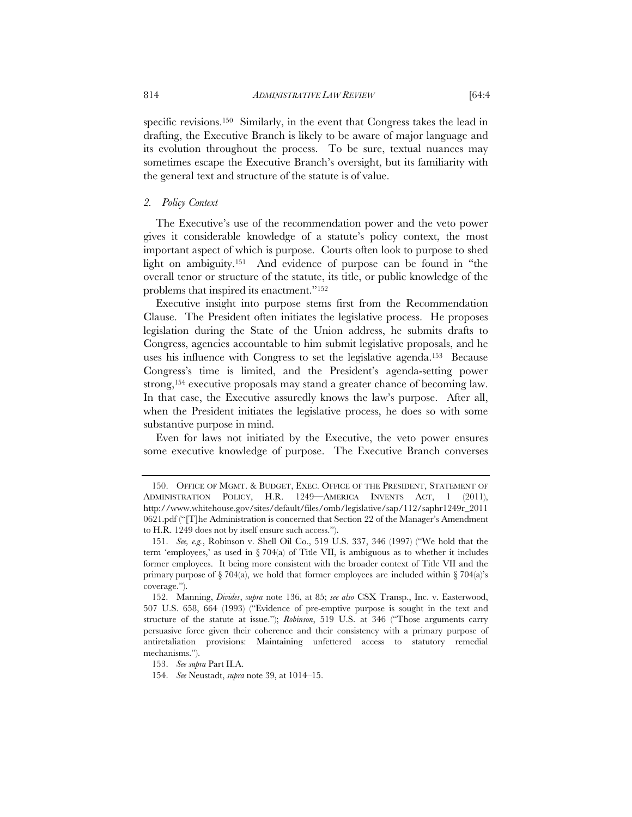specific revisions.150 Similarly, in the event that Congress takes the lead in drafting, the Executive Branch is likely to be aware of major language and its evolution throughout the process. To be sure, textual nuances may sometimes escape the Executive Branch's oversight, but its familiarity with the general text and structure of the statute is of value.

#### *2. Policy Context*

The Executive's use of the recommendation power and the veto power gives it considerable knowledge of a statute's policy context, the most important aspect of which is purpose. Courts often look to purpose to shed light on ambiguity.151 And evidence of purpose can be found in "the overall tenor or structure of the statute, its title, or public knowledge of the problems that inspired its enactment."152

Executive insight into purpose stems first from the Recommendation Clause. The President often initiates the legislative process. He proposes legislation during the State of the Union address, he submits drafts to Congress, agencies accountable to him submit legislative proposals, and he uses his influence with Congress to set the legislative agenda.153 Because Congress's time is limited, and the President's agenda-setting power strong,154 executive proposals may stand a greater chance of becoming law. In that case, the Executive assuredly knows the law's purpose. After all, when the President initiates the legislative process, he does so with some substantive purpose in mind.

Even for laws not initiated by the Executive, the veto power ensures some executive knowledge of purpose. The Executive Branch converses

 <sup>150.</sup> OFFICE OF MGMT. & BUDGET, EXEC. OFFICE OF THE PRESIDENT, STATEMENT OF ADMINISTRATION POLICY, H.R. 1249—AMERICA INVENTS ACT, 1 (2011), http://www.whitehouse.gov/sites/default/files/omb/legislative/sap/112/saphr1249r\_2011 0621.pdf ("[T]he Administration is concerned that Section 22 of the Manager's Amendment to H.R. 1249 does not by itself ensure such access.").

 <sup>151.</sup> *See, e.g.*, Robinson v. Shell Oil Co., 519 U.S. 337, 346 (1997) ("We hold that the term 'employees,' as used in  $\S 704(a)$  of Title VII, is ambiguous as to whether it includes former employees. It being more consistent with the broader context of Title VII and the primary purpose of  $\S 704(a)$ , we hold that former employees are included within  $\S 704(a)$ 's coverage.").

 <sup>152.</sup> Manning, *Divides*, *supra* note 136, at 85; *see also* CSX Transp., Inc. v. Easterwood, 507 U.S. 658, 664 (1993) ("Evidence of pre-emptive purpose is sought in the text and structure of the statute at issue."); *Robinson*, 519 U.S. at 346 ("Those arguments carry persuasive force given their coherence and their consistency with a primary purpose of antiretaliation provisions: Maintaining unfettered access to statutory remedial mechanisms.").

 <sup>153.</sup> *See supra* Part II.A.

 <sup>154.</sup> *See* Neustadt, *supra* note 39, at 1014–15.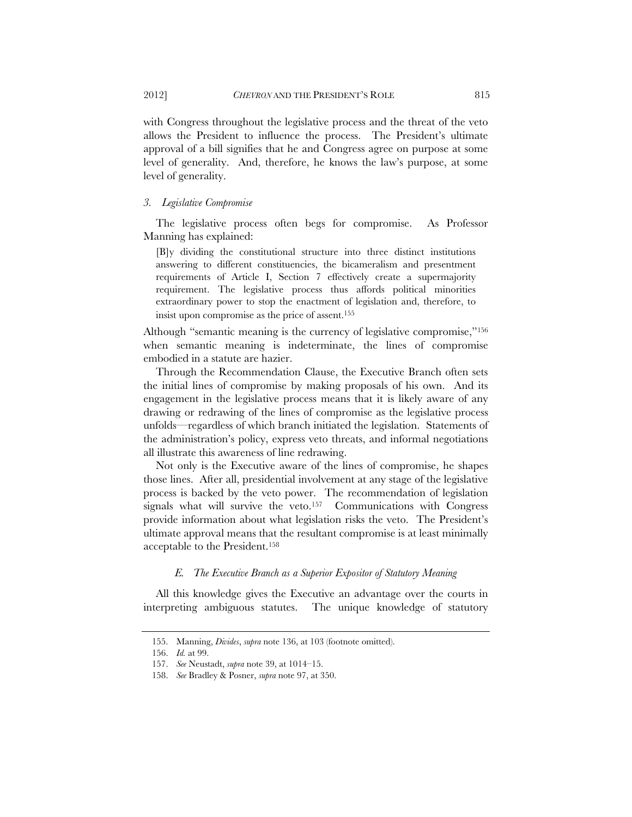with Congress throughout the legislative process and the threat of the veto allows the President to influence the process. The President's ultimate approval of a bill signifies that he and Congress agree on purpose at some level of generality. And, therefore, he knows the law's purpose, at some level of generality.

#### *3. Legislative Compromise*

The legislative process often begs for compromise. As Professor Manning has explained:

[B]y dividing the constitutional structure into three distinct institutions answering to different constituencies, the bicameralism and presentment requirements of Article I, Section 7 effectively create a supermajority requirement. The legislative process thus affords political minorities extraordinary power to stop the enactment of legislation and, therefore, to insist upon compromise as the price of assent.155

Although "semantic meaning is the currency of legislative compromise,"156 when semantic meaning is indeterminate, the lines of compromise embodied in a statute are hazier.

Through the Recommendation Clause, the Executive Branch often sets the initial lines of compromise by making proposals of his own. And its engagement in the legislative process means that it is likely aware of any drawing or redrawing of the lines of compromise as the legislative process unfolds—regardless of which branch initiated the legislation. Statements of the administration's policy, express veto threats, and informal negotiations all illustrate this awareness of line redrawing.

Not only is the Executive aware of the lines of compromise, he shapes those lines. After all, presidential involvement at any stage of the legislative process is backed by the veto power. The recommendation of legislation signals what will survive the veto.157 Communications with Congress provide information about what legislation risks the veto. The President's ultimate approval means that the resultant compromise is at least minimally acceptable to the President.158

## *E. The Executive Branch as a Superior Expositor of Statutory Meaning*

All this knowledge gives the Executive an advantage over the courts in interpreting ambiguous statutes. The unique knowledge of statutory

 <sup>155.</sup> Manning, *Divides*, *supra* note 136, at 103 (footnote omitted).

 <sup>156.</sup> *Id.* at 99.

 <sup>157.</sup> *See* Neustadt, *supra* note 39, at 1014–15.

 <sup>158.</sup> *See* Bradley & Posner, *supra* note 97, at 350.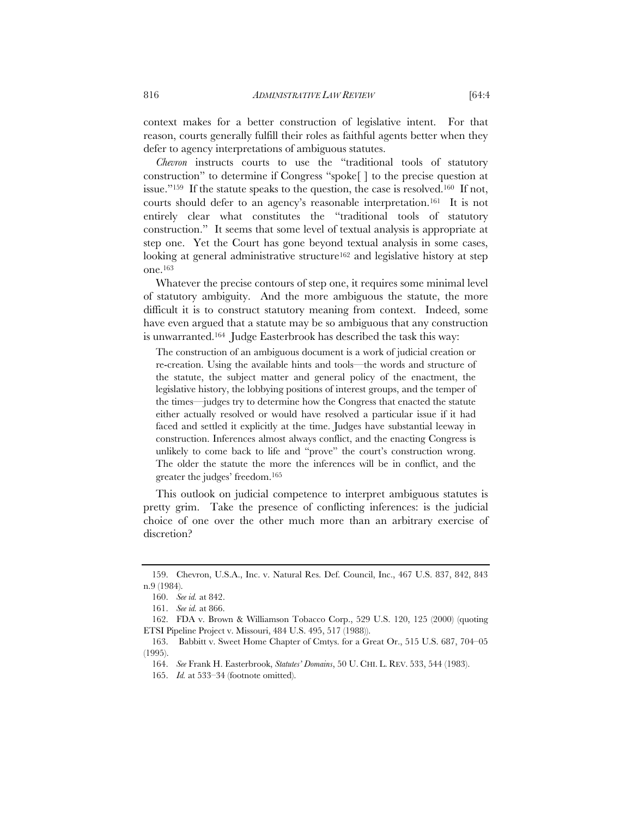context makes for a better construction of legislative intent. For that reason, courts generally fulfill their roles as faithful agents better when they defer to agency interpretations of ambiguous statutes.

*Chevron* instructs courts to use the "traditional tools of statutory construction" to determine if Congress "spoke[ ] to the precise question at issue."159 If the statute speaks to the question, the case is resolved.160 If not, courts should defer to an agency's reasonable interpretation.161 It is not entirely clear what constitutes the "traditional tools of statutory construction." It seems that some level of textual analysis is appropriate at step one. Yet the Court has gone beyond textual analysis in some cases, looking at general administrative structure<sup>162</sup> and legislative history at step one.163

Whatever the precise contours of step one, it requires some minimal level of statutory ambiguity. And the more ambiguous the statute, the more difficult it is to construct statutory meaning from context. Indeed, some have even argued that a statute may be so ambiguous that any construction is unwarranted.164 Judge Easterbrook has described the task this way:

The construction of an ambiguous document is a work of judicial creation or re-creation. Using the available hints and tools—the words and structure of the statute, the subject matter and general policy of the enactment, the legislative history, the lobbying positions of interest groups, and the temper of the times—judges try to determine how the Congress that enacted the statute either actually resolved or would have resolved a particular issue if it had faced and settled it explicitly at the time. Judges have substantial leeway in construction. Inferences almost always conflict, and the enacting Congress is unlikely to come back to life and "prove" the court's construction wrong. The older the statute the more the inferences will be in conflict, and the greater the judges' freedom.165

This outlook on judicial competence to interpret ambiguous statutes is pretty grim. Take the presence of conflicting inferences: is the judicial choice of one over the other much more than an arbitrary exercise of discretion?

 <sup>159.</sup> Chevron, U.S.A., Inc. v. Natural Res. Def. Council, Inc., 467 U.S. 837, 842, 843 n.9 (1984).

 <sup>160.</sup> *See id.* at 842.

 <sup>161.</sup> *See id.* at 866.

 <sup>162.</sup> FDA v. Brown & Williamson Tobacco Corp., 529 U.S. 120, 125 (2000) (quoting ETSI Pipeline Project v. Missouri, 484 U.S. 495, 517 (1988)).

 <sup>163.</sup> Babbitt v. Sweet Home Chapter of Cmtys. for a Great Or., 515 U.S. 687, 704–05 (1995).

 <sup>164.</sup> *See* Frank H. Easterbrook, *Statutes' Domains*, 50 U. CHI. L. REV. 533, 544 (1983).

 <sup>165.</sup> *Id.* at 533–34 (footnote omitted).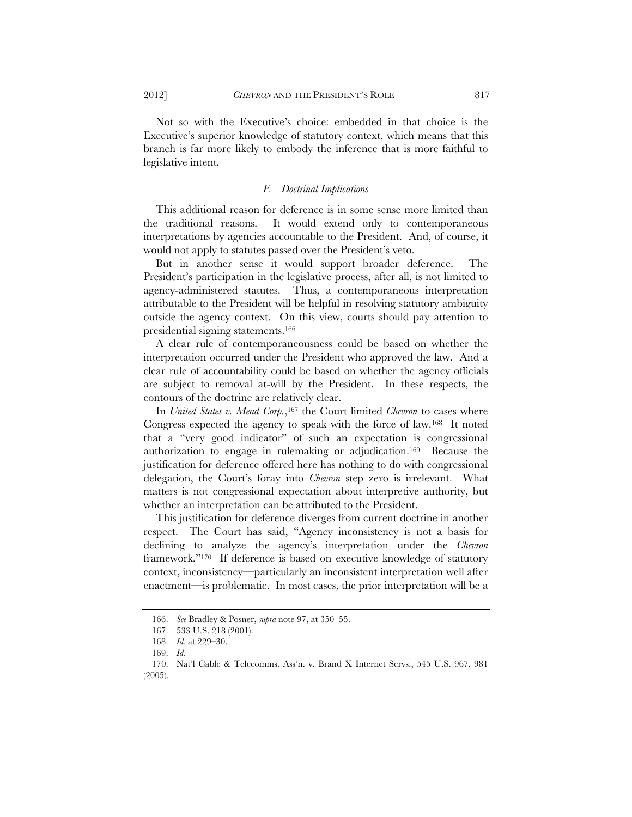Not so with the Executive's choice: embedded in that choice is the Executive's superior knowledge of statutory context, which means that this branch is far more likely to embody the inference that is more faithful to legislative intent.

## *F. Doctrinal Implications*

This additional reason for deference is in some sense more limited than the traditional reasons. It would extend only to contemporaneous interpretations by agencies accountable to the President. And, of course, it would not apply to statutes passed over the President's veto.

But in another sense it would support broader deference. The President's participation in the legislative process, after all, is not limited to agency-administered statutes. Thus, a contemporaneous interpretation attributable to the President will be helpful in resolving statutory ambiguity outside the agency context. On this view, courts should pay attention to presidential signing statements.166

A clear rule of contemporaneousness could be based on whether the interpretation occurred under the President who approved the law. And a clear rule of accountability could be based on whether the agency officials are subject to removal at-will by the President. In these respects, the contours of the doctrine are relatively clear.

In *United States v. Mead Corp.*,<sup>167</sup> the Court limited *Chevron* to cases where Congress expected the agency to speak with the force of law.168 It noted that a "very good indicator" of such an expectation is congressional authorization to engage in rulemaking or adjudication.169 Because the justification for deference offered here has nothing to do with congressional delegation, the Court's foray into *Chevron* step zero is irrelevant. What matters is not congressional expectation about interpretive authority, but whether an interpretation can be attributed to the President.

This justification for deference diverges from current doctrine in another respect. The Court has said, "Agency inconsistency is not a basis for declining to analyze the agency's interpretation under the *Chevron*  framework."170 If deference is based on executive knowledge of statutory context, inconsistency—particularly an inconsistent interpretation well after enactment—is problematic. In most cases, the prior interpretation will be a

 <sup>166.</sup> *See* Bradley & Posner, *supra* note 97, at 350–55.

 <sup>167. 533</sup> U.S. 218 (2001).

 <sup>168.</sup> *Id.* at 229–30.

 <sup>169.</sup> *Id.*

 <sup>170.</sup> Nat'l Cable & Telecomms. Ass'n. v. Brand X Internet Servs., 545 U.S. 967, 981 (2005).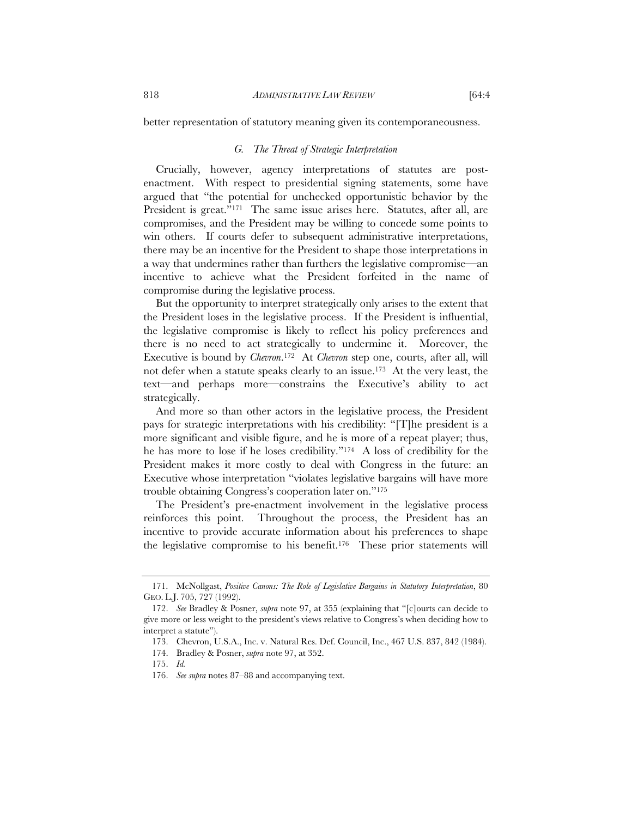better representation of statutory meaning given its contemporaneousness.

## *G. The Threat of Strategic Interpretation*

Crucially, however, agency interpretations of statutes are postenactment. With respect to presidential signing statements, some have argued that "the potential for unchecked opportunistic behavior by the President is great."<sup>171</sup> The same issue arises here. Statutes, after all, are compromises, and the President may be willing to concede some points to win others. If courts defer to subsequent administrative interpretations, there may be an incentive for the President to shape those interpretations in a way that undermines rather than furthers the legislative compromise—an incentive to achieve what the President forfeited in the name of compromise during the legislative process.

But the opportunity to interpret strategically only arises to the extent that the President loses in the legislative process. If the President is influential, the legislative compromise is likely to reflect his policy preferences and there is no need to act strategically to undermine it. Moreover, the Executive is bound by *Chevron*.172 At *Chevron* step one, courts, after all, will not defer when a statute speaks clearly to an issue.173 At the very least, the text—and perhaps more—constrains the Executive's ability to act strategically.

And more so than other actors in the legislative process, the President pays for strategic interpretations with his credibility: "[T]he president is a more significant and visible figure, and he is more of a repeat player; thus, he has more to lose if he loses credibility."174 A loss of credibility for the President makes it more costly to deal with Congress in the future: an Executive whose interpretation "violates legislative bargains will have more trouble obtaining Congress's cooperation later on."175

The President's pre-enactment involvement in the legislative process reinforces this point. Throughout the process, the President has an incentive to provide accurate information about his preferences to shape the legislative compromise to his benefit.176 These prior statements will

 <sup>171.</sup> McNollgast, *Positive Canons: The Role of Legislative Bargains in Statutory Interpretation*, 80 GEO. L.J. 705, 727 (1992).

 <sup>172.</sup> *See* Bradley & Posner, *supra* note 97, at 355 (explaining that "[c]ourts can decide to give more or less weight to the president's views relative to Congress's when deciding how to interpret a statute").

 <sup>173.</sup> Chevron, U.S.A., Inc. v. Natural Res. Def. Council, Inc., 467 U.S. 837, 842 (1984).

 <sup>174.</sup> Bradley & Posner, *supra* note 97, at 352.

 <sup>175.</sup> *Id.*

 <sup>176.</sup> *See supra* notes 87–88 and accompanying text.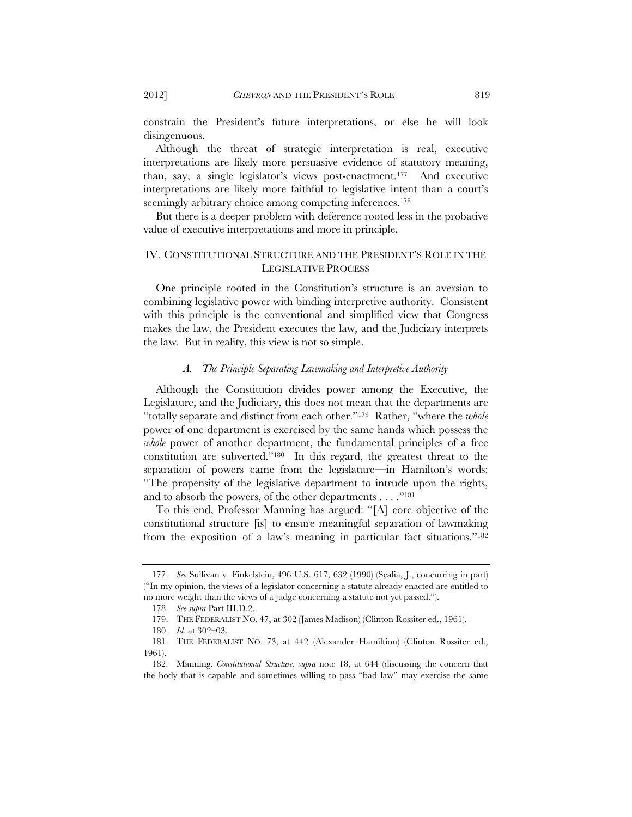constrain the President's future interpretations, or else he will look disingenuous.

Although the threat of strategic interpretation is real, executive interpretations are likely more persuasive evidence of statutory meaning, than, say, a single legislator's views post-enactment.177 And executive interpretations are likely more faithful to legislative intent than a court's seemingly arbitrary choice among competing inferences.<sup>178</sup>

But there is a deeper problem with deference rooted less in the probative value of executive interpretations and more in principle.

## IV. CONSTITUTIONAL STRUCTURE AND THE PRESIDENT'S ROLE IN THE LEGISLATIVE PROCESS

One principle rooted in the Constitution's structure is an aversion to combining legislative power with binding interpretive authority. Consistent with this principle is the conventional and simplified view that Congress makes the law, the President executes the law, and the Judiciary interprets the law. But in reality, this view is not so simple.

## *A. The Principle Separating Lawmaking and Interpretive Authority*

Although the Constitution divides power among the Executive, the Legislature, and the Judiciary, this does not mean that the departments are "totally separate and distinct from each other."179 Rather, "where the *whole*  power of one department is exercised by the same hands which possess the *whole* power of another department, the fundamental principles of a free constitution are subverted."180 In this regard, the greatest threat to the separation of powers came from the legislature—in Hamilton's words: "The propensity of the legislative department to intrude upon the rights, and to absorb the powers, of the other departments . . . ."181

To this end, Professor Manning has argued: "[A] core objective of the constitutional structure [is] to ensure meaningful separation of lawmaking from the exposition of a law's meaning in particular fact situations."182

 <sup>177.</sup> *See* Sullivan v. Finkelstein, 496 U.S. 617, 632 (1990) (Scalia, J., concurring in part) ("In my opinion, the views of a legislator concerning a statute already enacted are entitled to no more weight than the views of a judge concerning a statute not yet passed.").

 <sup>178.</sup> *See supra* Part III.D.2.

 <sup>179.</sup> THE FEDERALIST NO. 47, at 302 (James Madison) (Clinton Rossiter ed., 1961).

 <sup>180.</sup> *Id.* at 302–03.

 <sup>181.</sup> THE FEDERALIST NO. 73, at 442 (Alexander Hamiltion) (Clinton Rossiter ed., 1961).

 <sup>182.</sup> Manning, *Constitutional Structure*, *supra* note 18, at 644 (discussing the concern that the body that is capable and sometimes willing to pass "bad law" may exercise the same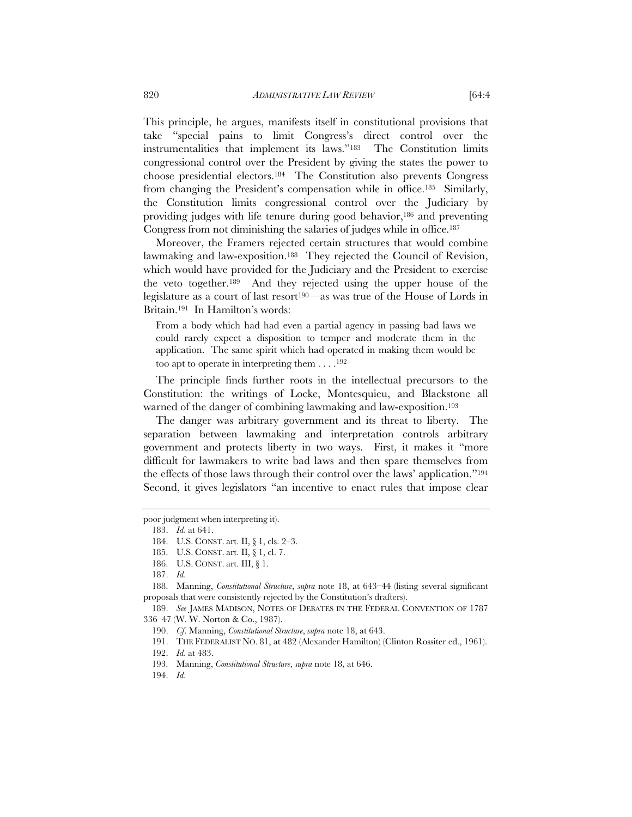This principle, he argues, manifests itself in constitutional provisions that take "special pains to limit Congress's direct control over the instrumentalities that implement its laws."183 The Constitution limits congressional control over the President by giving the states the power to choose presidential electors.184 The Constitution also prevents Congress from changing the President's compensation while in office.185 Similarly, the Constitution limits congressional control over the Judiciary by providing judges with life tenure during good behavior,186 and preventing Congress from not diminishing the salaries of judges while in office.187

Moreover, the Framers rejected certain structures that would combine lawmaking and law-exposition.<sup>188</sup> They rejected the Council of Revision, which would have provided for the Judiciary and the President to exercise the veto together.189 And they rejected using the upper house of the legislature as a court of last resort<sup>190—</sup>as was true of the House of Lords in Britain.191 In Hamilton's words:

From a body which had had even a partial agency in passing bad laws we could rarely expect a disposition to temper and moderate them in the application. The same spirit which had operated in making them would be too apt to operate in interpreting them  $\dots$ .<sup>192</sup>

The principle finds further roots in the intellectual precursors to the Constitution: the writings of Locke, Montesquieu, and Blackstone all warned of the danger of combining lawmaking and law-exposition.<sup>193</sup>

The danger was arbitrary government and its threat to liberty. The separation between lawmaking and interpretation controls arbitrary government and protects liberty in two ways. First, it makes it "more difficult for lawmakers to write bad laws and then spare themselves from the effects of those laws through their control over the laws' application."194 Second, it gives legislators "an incentive to enact rules that impose clear

poor judgment when interpreting it).

 <sup>183.</sup> *Id.* at 641.

 <sup>184.</sup> U.S. CONST. art. II, § 1, cls. 2–3.

 <sup>185.</sup> U.S. CONST. art. II, § 1, cl. 7.

 <sup>186.</sup> U.S. CONST. art. III, § 1.

 <sup>187.</sup> *Id.* 

 <sup>188.</sup> Manning, *Constitutional Structure*, *supra* note 18, at 643–44 (listing several significant proposals that were consistently rejected by the Constitution's drafters).

 <sup>189.</sup> *See* JAMES MADISON, NOTES OF DEBATES IN THE FEDERAL CONVENTION OF 1787 336–47 (W. W. Norton & Co., 1987).

 <sup>190.</sup> *Cf*. Manning, *Constitutional Structure*, *supra* note 18, at 643.

 <sup>191.</sup> THE FEDERALIST NO. 81, at 482 (Alexander Hamilton) (Clinton Rossiter ed., 1961).

 <sup>192.</sup> *Id.* at 483.

 <sup>193.</sup> Manning, *Constitutional Structure*, *supra* note 18, at 646.

 <sup>194.</sup> *Id.*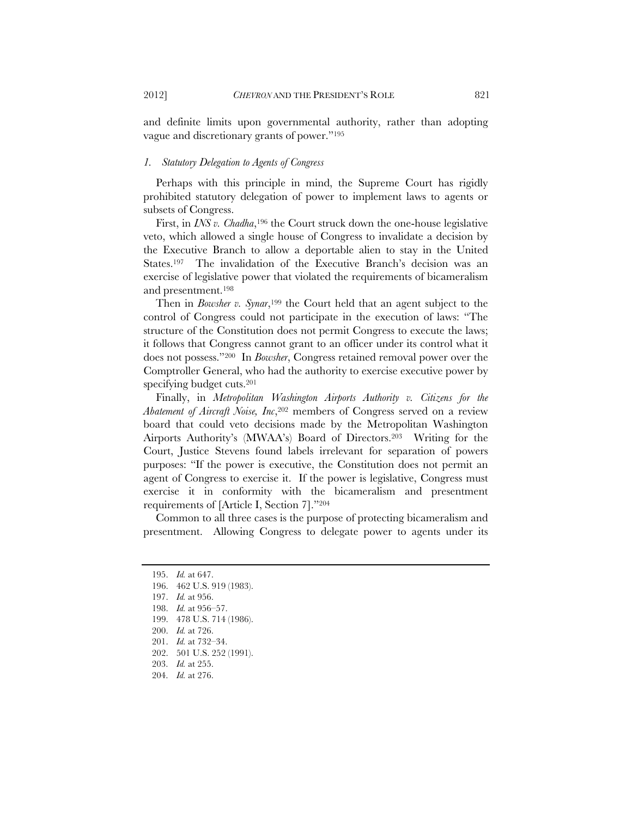and definite limits upon governmental authority, rather than adopting vague and discretionary grants of power."195

#### *1. Statutory Delegation to Agents of Congress*

Perhaps with this principle in mind, the Supreme Court has rigidly prohibited statutory delegation of power to implement laws to agents or subsets of Congress.

First, in *INS v. Chadha*,<sup>196</sup> the Court struck down the one-house legislative veto, which allowed a single house of Congress to invalidate a decision by the Executive Branch to allow a deportable alien to stay in the United States.197 The invalidation of the Executive Branch's decision was an exercise of legislative power that violated the requirements of bicameralism and presentment.198

Then in *Bowsher v. Synar*,<sup>199</sup> the Court held that an agent subject to the control of Congress could not participate in the execution of laws: "The structure of the Constitution does not permit Congress to execute the laws; it follows that Congress cannot grant to an officer under its control what it does not possess."200 In *Bowsher*, Congress retained removal power over the Comptroller General, who had the authority to exercise executive power by specifying budget cuts.201

Finally, in *Metropolitan Washington Airports Authority v. Citizens for the Abatement of Aircraft Noise, Inc*,202 members of Congress served on a review board that could veto decisions made by the Metropolitan Washington Airports Authority's (MWAA's) Board of Directors.203 Writing for the Court, Justice Stevens found labels irrelevant for separation of powers purposes: "If the power is executive, the Constitution does not permit an agent of Congress to exercise it. If the power is legislative, Congress must exercise it in conformity with the bicameralism and presentment requirements of [Article I, Section 7]."204

Common to all three cases is the purpose of protecting bicameralism and presentment. Allowing Congress to delegate power to agents under its

 <sup>195.</sup> *Id.* at 647.

 <sup>196. 462</sup> U.S. 919 (1983).

 <sup>197.</sup> *Id.* at 956.

 <sup>198.</sup> *Id.* at 956–57.

 <sup>199. 478</sup> U.S. 714 (1986).

 <sup>200.</sup> *Id.* at 726.

 <sup>201.</sup> *Id.* at 732–34.

 <sup>202. 501</sup> U.S. 252 (1991).

 <sup>203.</sup> *Id.* at 255.

 <sup>204.</sup> *Id.* at 276.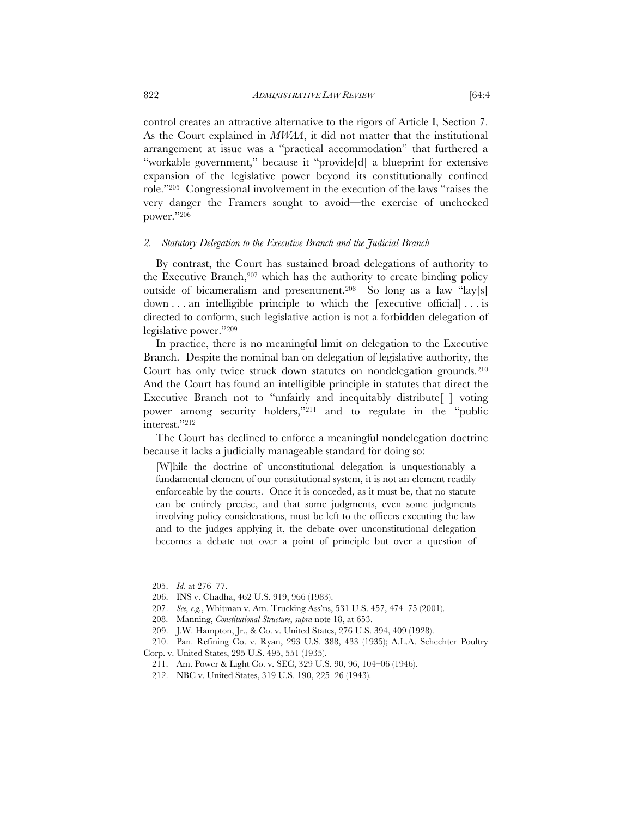control creates an attractive alternative to the rigors of Article I, Section 7. As the Court explained in *MWAA*, it did not matter that the institutional arrangement at issue was a "practical accommodation" that furthered a "workable government," because it "provide[d] a blueprint for extensive expansion of the legislative power beyond its constitutionally confined role."205 Congressional involvement in the execution of the laws "raises the very danger the Framers sought to avoid—the exercise of unchecked power."206

## *2. Statutory Delegation to the Executive Branch and the Judicial Branch*

By contrast, the Court has sustained broad delegations of authority to the Executive Branch,207 which has the authority to create binding policy outside of bicameralism and presentment.208 So long as a law "lay[s] down . . . an intelligible principle to which the [executive official] . . . is directed to conform, such legislative action is not a forbidden delegation of legislative power."209

In practice, there is no meaningful limit on delegation to the Executive Branch. Despite the nominal ban on delegation of legislative authority, the Court has only twice struck down statutes on nondelegation grounds.210 And the Court has found an intelligible principle in statutes that direct the Executive Branch not to "unfairly and inequitably distribute | voting power among security holders,"211 and to regulate in the "public interest."212

The Court has declined to enforce a meaningful nondelegation doctrine because it lacks a judicially manageable standard for doing so:

[W]hile the doctrine of unconstitutional delegation is unquestionably a fundamental element of our constitutional system, it is not an element readily enforceable by the courts. Once it is conceded, as it must be, that no statute can be entirely precise, and that some judgments, even some judgments involving policy considerations, must be left to the officers executing the law and to the judges applying it, the debate over unconstitutional delegation becomes a debate not over a point of principle but over a question of

 <sup>205.</sup> *Id.* at 276–77.

 <sup>206.</sup> INS v. Chadha, 462 U.S. 919, 966 (1983).

 <sup>207.</sup> *See, e.g.*, Whitman v. Am. Trucking Ass'ns, 531 U.S. 457, 474–75 (2001).

 <sup>208.</sup> Manning, *Constitutional Structure*, *supra* note 18, at 653.

 <sup>209.</sup> J.W. Hampton, Jr., & Co. v. United States, 276 U.S. 394, 409 (1928).

 <sup>210.</sup> Pan. Refining Co. v. Ryan, 293 U.S. 388, 433 (1935); A.L.A. Schechter Poultry Corp. v. United States, 295 U.S. 495, 551 (1935).

 <sup>211.</sup> Am. Power & Light Co. v. SEC, 329 U.S. 90, 96, 104–06 (1946).

 <sup>212.</sup> NBC v. United States, 319 U.S. 190, 225–26 (1943).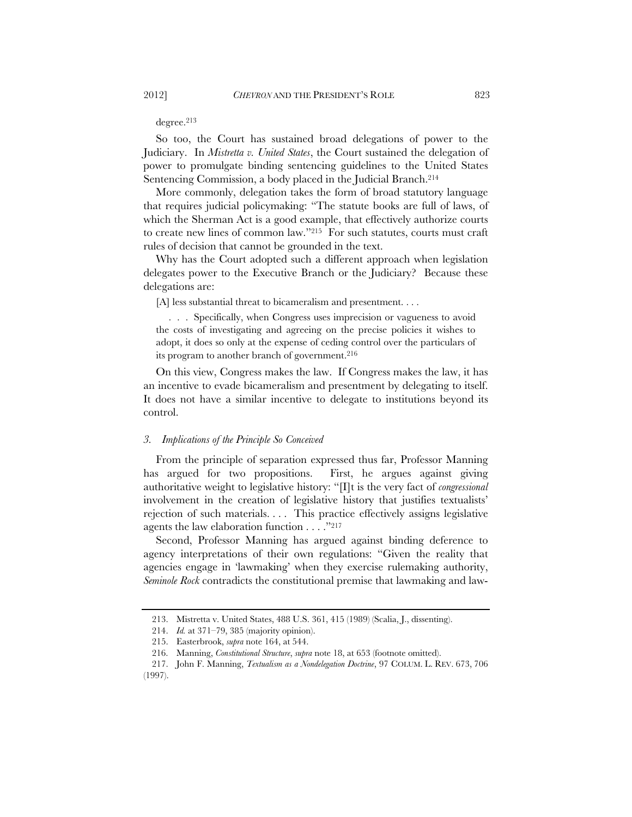degree.213

So too, the Court has sustained broad delegations of power to the Judiciary. In *Mistretta v. United States*, the Court sustained the delegation of power to promulgate binding sentencing guidelines to the United States Sentencing Commission, a body placed in the Judicial Branch.<sup>214</sup>

More commonly, delegation takes the form of broad statutory language that requires judicial policymaking: "The statute books are full of laws, of which the Sherman Act is a good example, that effectively authorize courts to create new lines of common law."215 For such statutes, courts must craft rules of decision that cannot be grounded in the text.

Why has the Court adopted such a different approach when legislation delegates power to the Executive Branch or the Judiciary? Because these delegations are:

[A] less substantial threat to bicameralism and presentment. . . .

. . . Specifically, when Congress uses imprecision or vagueness to avoid the costs of investigating and agreeing on the precise policies it wishes to adopt, it does so only at the expense of ceding control over the particulars of its program to another branch of government.<sup>216</sup>

On this view, Congress makes the law. If Congress makes the law, it has an incentive to evade bicameralism and presentment by delegating to itself. It does not have a similar incentive to delegate to institutions beyond its control.

#### *3. Implications of the Principle So Conceived*

From the principle of separation expressed thus far, Professor Manning has argued for two propositions. First, he argues against giving authoritative weight to legislative history: "[I]t is the very fact of *congressional*  involvement in the creation of legislative history that justifies textualists' rejection of such materials. . . . This practice effectively assigns legislative agents the law elaboration function . . . ."217

Second, Professor Manning has argued against binding deference to agency interpretations of their own regulations: "Given the reality that agencies engage in 'lawmaking' when they exercise rulemaking authority, *Seminole Rock* contradicts the constitutional premise that lawmaking and law-

 <sup>213.</sup> Mistretta v. United States, 488 U.S. 361, 415 (1989) (Scalia, J., dissenting).

 <sup>214.</sup> *Id.* at 371–79, 385 (majority opinion).

 <sup>215.</sup> Easterbrook, *supra* note 164, at 544.

 <sup>216.</sup> Manning, *Constitutional Structure*, *supra* note 18, at 653 (footnote omitted).

 <sup>217.</sup> John F. Manning, *Textualism as a Nondelegation Doctrine*, 97 COLUM. L. REV. 673, 706 (1997).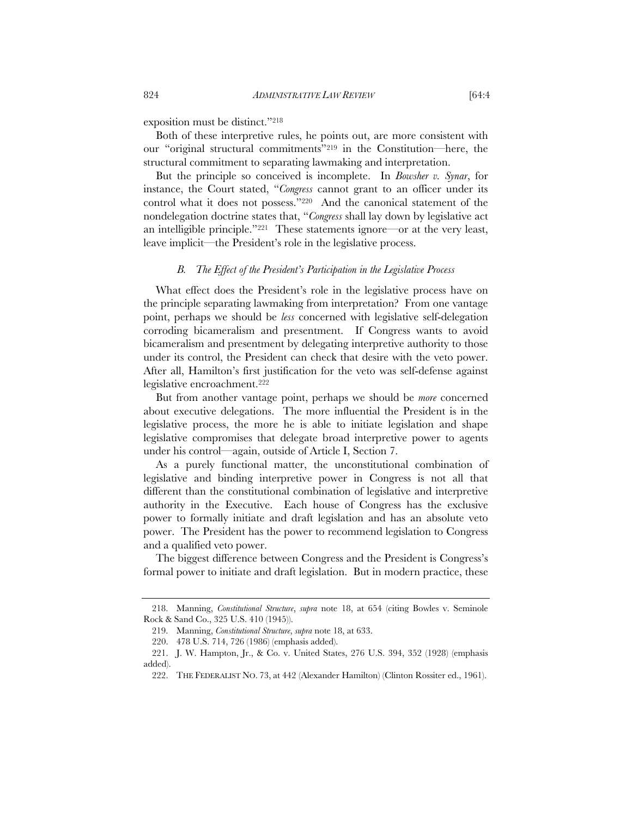exposition must be distinct."218

Both of these interpretive rules, he points out, are more consistent with our "original structural commitments"219 in the Constitution—here, the structural commitment to separating lawmaking and interpretation.

But the principle so conceived is incomplete. In *Bowsher v. Synar*, for instance, the Court stated, "*Congress* cannot grant to an officer under its control what it does not possess."220 And the canonical statement of the nondelegation doctrine states that, "*Congress* shall lay down by legislative act an intelligible principle."221 These statements ignore—or at the very least, leave implicit—the President's role in the legislative process.

#### *B. The Effect of the President's Participation in the Legislative Process*

What effect does the President's role in the legislative process have on the principle separating lawmaking from interpretation? From one vantage point, perhaps we should be *less* concerned with legislative self-delegation corroding bicameralism and presentment. If Congress wants to avoid bicameralism and presentment by delegating interpretive authority to those under its control, the President can check that desire with the veto power. After all, Hamilton's first justification for the veto was self-defense against legislative encroachment.222

But from another vantage point, perhaps we should be *more* concerned about executive delegations. The more influential the President is in the legislative process, the more he is able to initiate legislation and shape legislative compromises that delegate broad interpretive power to agents under his control—again, outside of Article I, Section 7.

As a purely functional matter, the unconstitutional combination of legislative and binding interpretive power in Congress is not all that different than the constitutional combination of legislative and interpretive authority in the Executive. Each house of Congress has the exclusive power to formally initiate and draft legislation and has an absolute veto power. The President has the power to recommend legislation to Congress and a qualified veto power.

The biggest difference between Congress and the President is Congress's formal power to initiate and draft legislation. But in modern practice, these

 <sup>218.</sup> Manning, *Constitutional Structure*, *supra* note 18, at 654 (citing Bowles v. Seminole Rock & Sand Co., 325 U.S. 410 (1945)).

 <sup>219.</sup> Manning, *Constitutional Structure*, *supra* note 18, at 633.

 <sup>220. 478</sup> U.S. 714, 726 (1986) (emphasis added).

 <sup>221.</sup> J. W. Hampton, Jr., & Co. v. United States, 276 U.S. 394, 352 (1928) (emphasis added).

 <sup>222.</sup> THE FEDERALIST NO. 73, at 442 (Alexander Hamilton) (Clinton Rossiter ed., 1961).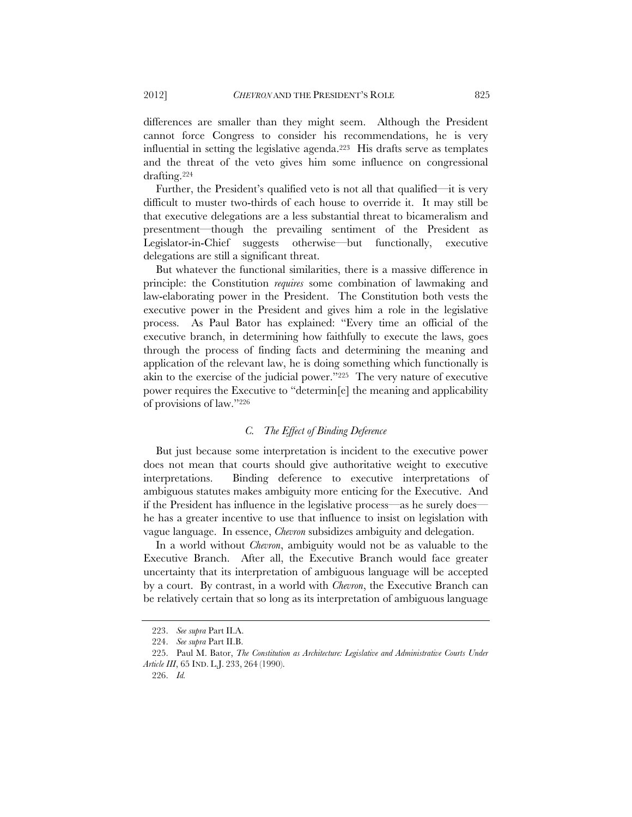differences are smaller than they might seem. Although the President cannot force Congress to consider his recommendations, he is very influential in setting the legislative agenda.<sup>223</sup> His drafts serve as templates and the threat of the veto gives him some influence on congressional drafting.224

Further, the President's qualified veto is not all that qualified—it is very difficult to muster two-thirds of each house to override it. It may still be that executive delegations are a less substantial threat to bicameralism and presentment—though the prevailing sentiment of the President as Legislator-in-Chief suggests otherwise—but functionally, executive delegations are still a significant threat.

But whatever the functional similarities, there is a massive difference in principle: the Constitution *requires* some combination of lawmaking and law-elaborating power in the President. The Constitution both vests the executive power in the President and gives him a role in the legislative process. As Paul Bator has explained: "Every time an official of the executive branch, in determining how faithfully to execute the laws, goes through the process of finding facts and determining the meaning and application of the relevant law, he is doing something which functionally is akin to the exercise of the judicial power."225 The very nature of executive power requires the Executive to "determin[e] the meaning and applicability of provisions of law."226

## *C. The Effect of Binding Deference*

But just because some interpretation is incident to the executive power does not mean that courts should give authoritative weight to executive interpretations. Binding deference to executive interpretations of ambiguous statutes makes ambiguity more enticing for the Executive. And if the President has influence in the legislative process—as he surely does he has a greater incentive to use that influence to insist on legislation with vague language. In essence, *Chevron* subsidizes ambiguity and delegation.

In a world without *Chevron*, ambiguity would not be as valuable to the Executive Branch. After all, the Executive Branch would face greater uncertainty that its interpretation of ambiguous language will be accepted by a court. By contrast, in a world with *Chevron*, the Executive Branch can be relatively certain that so long as its interpretation of ambiguous language

 <sup>223.</sup> *See supra* Part II.A.

 <sup>224.</sup> *See supra* Part II.B.

 <sup>225.</sup> Paul M. Bator, *The Constitution as Architecture: Legislative and Administrative Courts Under Article III*, 65 IND. L.J. 233, 264 (1990).

 <sup>226.</sup> *Id.*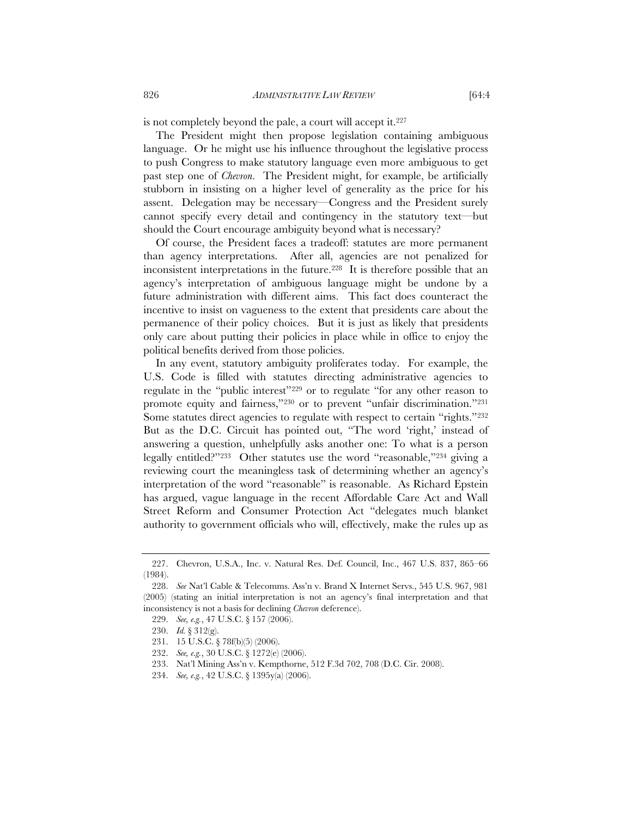is not completely beyond the pale, a court will accept it.227

The President might then propose legislation containing ambiguous language. Or he might use his influence throughout the legislative process to push Congress to make statutory language even more ambiguous to get past step one of *Chevron*. The President might, for example, be artificially stubborn in insisting on a higher level of generality as the price for his assent. Delegation may be necessary—Congress and the President surely cannot specify every detail and contingency in the statutory text—but should the Court encourage ambiguity beyond what is necessary?

Of course, the President faces a tradeoff: statutes are more permanent than agency interpretations. After all, agencies are not penalized for inconsistent interpretations in the future.228 It is therefore possible that an agency's interpretation of ambiguous language might be undone by a future administration with different aims. This fact does counteract the incentive to insist on vagueness to the extent that presidents care about the permanence of their policy choices. But it is just as likely that presidents only care about putting their policies in place while in office to enjoy the political benefits derived from those policies.

In any event, statutory ambiguity proliferates today. For example, the U.S. Code is filled with statutes directing administrative agencies to regulate in the "public interest"229 or to regulate "for any other reason to promote equity and fairness,"230 or to prevent "unfair discrimination."231 Some statutes direct agencies to regulate with respect to certain "rights."232 But as the D.C. Circuit has pointed out, "The word 'right,' instead of answering a question, unhelpfully asks another one: To what is a person legally entitled?"233 Other statutes use the word "reasonable,"234 giving a reviewing court the meaningless task of determining whether an agency's interpretation of the word "reasonable" is reasonable. As Richard Epstein has argued, vague language in the recent Affordable Care Act and Wall Street Reform and Consumer Protection Act "delegates much blanket authority to government officials who will, effectively, make the rules up as

 <sup>227.</sup> Chevron, U.S.A., Inc. v. Natural Res. Def. Council, Inc., 467 U.S. 837, 865–66 (1984).

 <sup>228.</sup> *See* Nat'l Cable & Telecomms. Ass'n v. Brand X Internet Servs., 545 U.S. 967, 981 (2005) (stating an initial interpretation is not an agency's final interpretation and that inconsistency is not a basis for declining *Chevron* deference).

 <sup>229.</sup> *See, e.g.*, 47 U.S.C. § 157 (2006).

 <sup>230.</sup> *Id.* § 312(g).

 <sup>231. 15</sup> U.S.C. § 78f(b)(5) (2006).

 <sup>232.</sup> *See, e.g.*, 30 U.S.C. § 1272(e) (2006).

 <sup>233.</sup> Nat'l Mining Ass'n v. Kempthorne, 512 F.3d 702, 708 (D.C. Cir. 2008).

 <sup>234.</sup> *See, e.g.*, 42 U.S.C. § 1395y(a) (2006).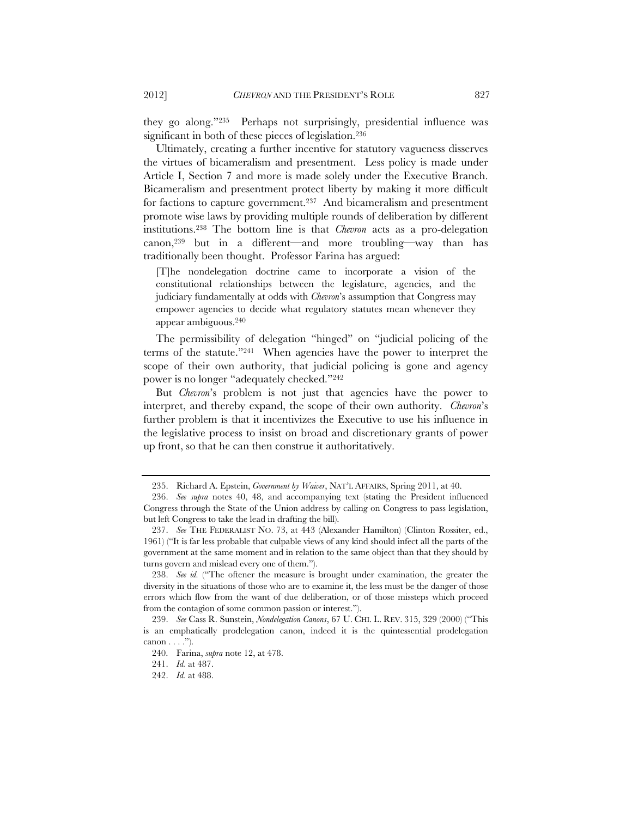they go along."235 Perhaps not surprisingly, presidential influence was significant in both of these pieces of legislation.<sup>236</sup>

Ultimately, creating a further incentive for statutory vagueness disserves the virtues of bicameralism and presentment. Less policy is made under Article I, Section 7 and more is made solely under the Executive Branch. Bicameralism and presentment protect liberty by making it more difficult for factions to capture government.<sup>237</sup> And bicameralism and presentment promote wise laws by providing multiple rounds of deliberation by different institutions.238 The bottom line is that *Chevron* acts as a pro-delegation canon,239 but in a different—and more troubling—way than has traditionally been thought. Professor Farina has argued:

[T]he nondelegation doctrine came to incorporate a vision of the constitutional relationships between the legislature, agencies, and the judiciary fundamentally at odds with *Chevron*'s assumption that Congress may empower agencies to decide what regulatory statutes mean whenever they appear ambiguous.240

The permissibility of delegation "hinged" on "judicial policing of the terms of the statute."241 When agencies have the power to interpret the scope of their own authority, that judicial policing is gone and agency power is no longer "adequately checked."242

But *Chevron*'s problem is not just that agencies have the power to interpret, and thereby expand, the scope of their own authority. *Chevron*'s further problem is that it incentivizes the Executive to use his influence in the legislative process to insist on broad and discretionary grants of power up front, so that he can then construe it authoritatively.

 <sup>235.</sup> Richard A. Epstein, *Government by Waiver*, NAT'L AFFAIRS, Spring 2011, at 40.

 <sup>236.</sup> *See supra* notes 40, 48, and accompanying text (stating the President influenced Congress through the State of the Union address by calling on Congress to pass legislation, but left Congress to take the lead in drafting the bill).

 <sup>237.</sup> *See* THE FEDERALIST NO. 73, at 443 (Alexander Hamilton) (Clinton Rossiter, ed., 1961) ("It is far less probable that culpable views of any kind should infect all the parts of the government at the same moment and in relation to the same object than that they should by turns govern and mislead every one of them.").

 <sup>238.</sup> *See id.* ("The oftener the measure is brought under examination, the greater the diversity in the situations of those who are to examine it, the less must be the danger of those errors which flow from the want of due deliberation, or of those missteps which proceed from the contagion of some common passion or interest.").

 <sup>239.</sup> *See* Cass R. Sunstein, *Nondelegation Canons*, 67 U. CHI. L. REV. 315, 329 (2000) ("This is an emphatically prodelegation canon, indeed it is the quintessential prodelegation canon  $\dots$ .").

 <sup>240.</sup> Farina, *supra* note 12, at 478.

 <sup>241.</sup> *Id.* at 487.

 <sup>242.</sup> *Id.* at 488.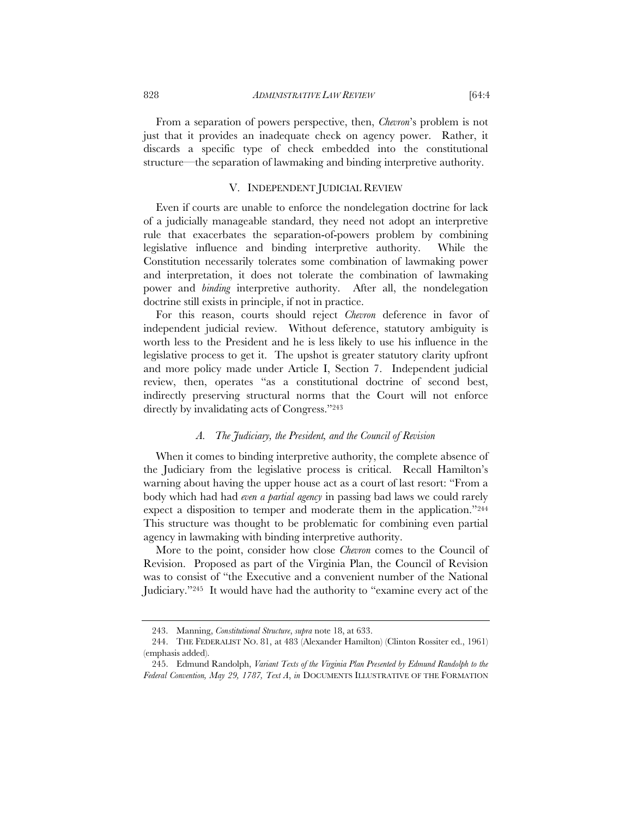From a separation of powers perspective, then, *Chevron*'s problem is not just that it provides an inadequate check on agency power. Rather, it discards a specific type of check embedded into the constitutional structure—the separation of lawmaking and binding interpretive authority.

## V. INDEPENDENT JUDICIAL REVIEW

Even if courts are unable to enforce the nondelegation doctrine for lack of a judicially manageable standard, they need not adopt an interpretive rule that exacerbates the separation-of-powers problem by combining legislative influence and binding interpretive authority. While the Constitution necessarily tolerates some combination of lawmaking power and interpretation, it does not tolerate the combination of lawmaking power and *binding* interpretive authority. After all, the nondelegation doctrine still exists in principle, if not in practice.

For this reason, courts should reject *Chevron* deference in favor of independent judicial review. Without deference, statutory ambiguity is worth less to the President and he is less likely to use his influence in the legislative process to get it. The upshot is greater statutory clarity upfront and more policy made under Article I, Section 7. Independent judicial review, then, operates "as a constitutional doctrine of second best, indirectly preserving structural norms that the Court will not enforce directly by invalidating acts of Congress."243

## *A. The Judiciary, the President, and the Council of Revision*

When it comes to binding interpretive authority, the complete absence of the Judiciary from the legislative process is critical. Recall Hamilton's warning about having the upper house act as a court of last resort: "From a body which had had *even a partial agency* in passing bad laws we could rarely expect a disposition to temper and moderate them in the application."244 This structure was thought to be problematic for combining even partial agency in lawmaking with binding interpretive authority.

More to the point, consider how close *Chevron* comes to the Council of Revision. Proposed as part of the Virginia Plan, the Council of Revision was to consist of "the Executive and a convenient number of the National Judiciary."245 It would have had the authority to "examine every act of the

 <sup>243.</sup> Manning, *Constitutional Structure*, *supra* note 18, at 633.

 <sup>244.</sup> THE FEDERALIST NO. 81, at 483 (Alexander Hamilton) (Clinton Rossiter ed., 1961) (emphasis added).

 <sup>245.</sup> Edmund Randolph, *Variant Texts of the Virginia Plan Presented by Edmund Randolph to the Federal Convention, May 29, 1787, Text A*, *in* DOCUMENTS ILLUSTRATIVE OF THE FORMATION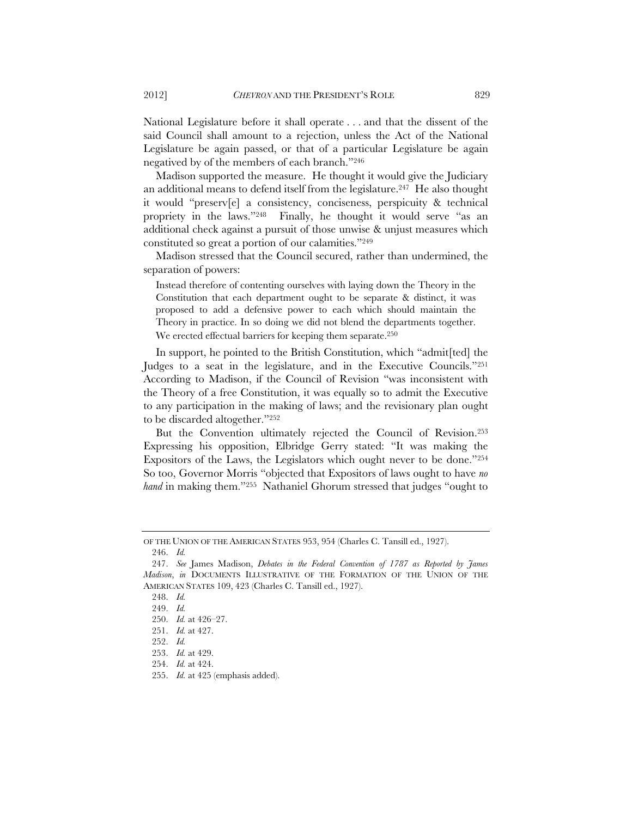National Legislature before it shall operate . . . and that the dissent of the said Council shall amount to a rejection, unless the Act of the National Legislature be again passed, or that of a particular Legislature be again negatived by of the members of each branch."246

Madison supported the measure. He thought it would give the Judiciary an additional means to defend itself from the legislature.247 He also thought it would "preserv[e] a consistency, conciseness, perspicuity & technical propriety in the laws."248 Finally, he thought it would serve "as an additional check against a pursuit of those unwise & unjust measures which constituted so great a portion of our calamities."249

Madison stressed that the Council secured, rather than undermined, the separation of powers:

Instead therefore of contenting ourselves with laying down the Theory in the Constitution that each department ought to be separate & distinct, it was proposed to add a defensive power to each which should maintain the Theory in practice. In so doing we did not blend the departments together. We erected effectual barriers for keeping them separate.<sup>250</sup>

In support, he pointed to the British Constitution, which "admit[ted] the Judges to a seat in the legislature, and in the Executive Councils."251 According to Madison, if the Council of Revision "was inconsistent with the Theory of a free Constitution, it was equally so to admit the Executive to any participation in the making of laws; and the revisionary plan ought to be discarded altogether."252

But the Convention ultimately rejected the Council of Revision.253 Expressing his opposition, Elbridge Gerry stated: "It was making the Expositors of the Laws, the Legislators which ought never to be done."254 So too, Governor Morris "objected that Expositors of laws ought to have *no hand* in making them."255 Nathaniel Ghorum stressed that judges "ought to

OF THE UNION OF THE AMERICAN STATES 953, 954 (Charles C. Tansill ed., 1927).

 <sup>246.</sup> *Id.* 

 <sup>247.</sup> *See* James Madison, *Debates in the Federal Convention of 1787 as Reported by James Madison*, *in* DOCUMENTS ILLUSTRATIVE OF THE FORMATION OF THE UNION OF THE AMERICAN STATES 109, 423 (Charles C. Tansill ed., 1927).

 <sup>248.</sup> *Id.*

 <sup>249.</sup> *Id.*

 <sup>250.</sup> *Id.* at 426–27.

 <sup>251.</sup> *Id.* at 427.

 <sup>252.</sup> *Id.*

 <sup>253.</sup> *Id.* at 429.

 <sup>254.</sup> *Id.* at 424.

 <sup>255.</sup> *Id.* at 425 (emphasis added).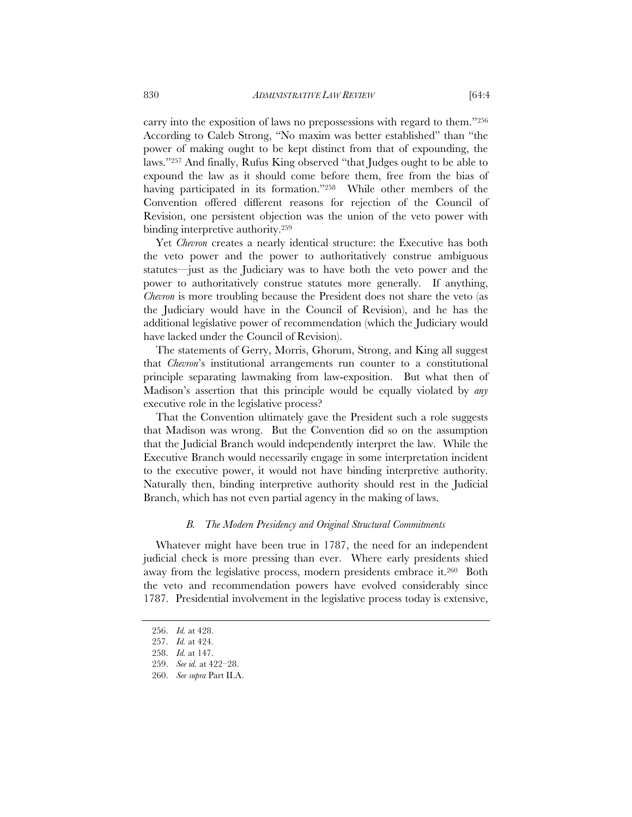carry into the exposition of laws no prepossessions with regard to them."256 According to Caleb Strong, "No maxim was better established" than "the power of making ought to be kept distinct from that of expounding, the laws."257 And finally, Rufus King observed "that Judges ought to be able to expound the law as it should come before them, free from the bias of having participated in its formation."258 While other members of the Convention offered different reasons for rejection of the Council of Revision, one persistent objection was the union of the veto power with binding interpretive authority.259

Yet *Chevron* creates a nearly identical structure: the Executive has both the veto power and the power to authoritatively construe ambiguous statutes—just as the Judiciary was to have both the veto power and the power to authoritatively construe statutes more generally. If anything, *Chevron* is more troubling because the President does not share the veto (as the Judiciary would have in the Council of Revision), and he has the additional legislative power of recommendation (which the Judiciary would have lacked under the Council of Revision).

The statements of Gerry, Morris, Ghorum, Strong, and King all suggest that *Chevron*'s institutional arrangements run counter to a constitutional principle separating lawmaking from law-exposition. But what then of Madison's assertion that this principle would be equally violated by *any*  executive role in the legislative process?

That the Convention ultimately gave the President such a role suggests that Madison was wrong. But the Convention did so on the assumption that the Judicial Branch would independently interpret the law. While the Executive Branch would necessarily engage in some interpretation incident to the executive power, it would not have binding interpretive authority. Naturally then, binding interpretive authority should rest in the Judicial Branch, which has not even partial agency in the making of laws.

## *B. The Modern Presidency and Original Structural Commitments*

Whatever might have been true in 1787, the need for an independent judicial check is more pressing than ever. Where early presidents shied away from the legislative process, modern presidents embrace it.260 Both the veto and recommendation powers have evolved considerably since 1787. Presidential involvement in the legislative process today is extensive,

 <sup>256.</sup> *Id.* at 428.

 <sup>257.</sup> *Id.* at 424.

 <sup>258.</sup> *Id.* at 147.

 <sup>259.</sup> *See id.* at 422–28.

 <sup>260.</sup> *See supra* Part II.A.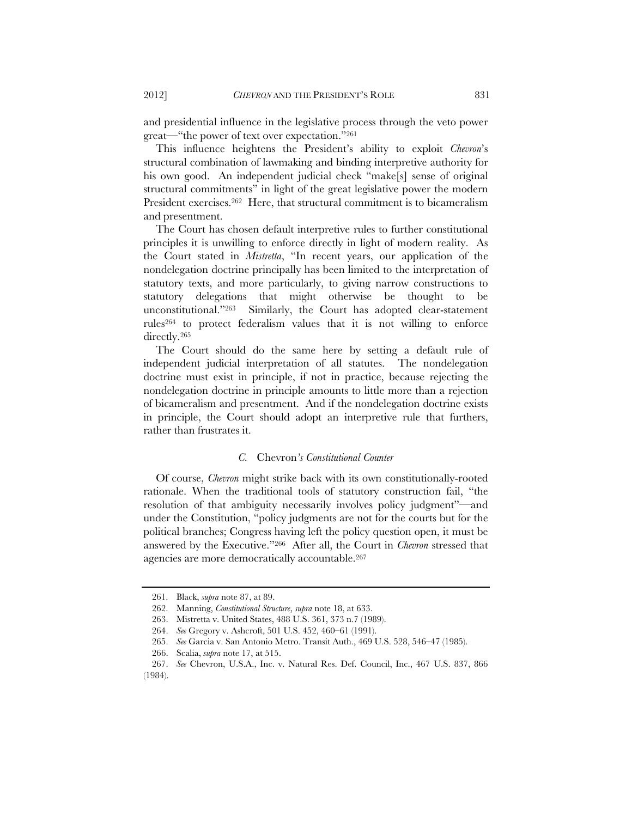and presidential influence in the legislative process through the veto power great—"the power of text over expectation."261

This influence heightens the President's ability to exploit *Chevron*'s structural combination of lawmaking and binding interpretive authority for his own good. An independent judicial check "make[s] sense of original structural commitments" in light of the great legislative power the modern President exercises.<sup>262</sup> Here, that structural commitment is to bicameralism and presentment.

The Court has chosen default interpretive rules to further constitutional principles it is unwilling to enforce directly in light of modern reality. As the Court stated in *Mistretta*, "In recent years, our application of the nondelegation doctrine principally has been limited to the interpretation of statutory texts, and more particularly, to giving narrow constructions to statutory delegations that might otherwise be thought to be unconstitutional."263 Similarly, the Court has adopted clear-statement rules264 to protect federalism values that it is not willing to enforce directly.265

The Court should do the same here by setting a default rule of independent judicial interpretation of all statutes. The nondelegation doctrine must exist in principle, if not in practice, because rejecting the nondelegation doctrine in principle amounts to little more than a rejection of bicameralism and presentment. And if the nondelegation doctrine exists in principle, the Court should adopt an interpretive rule that furthers, rather than frustrates it.

#### *C.* Chevron*'s Constitutional Counter*

Of course, *Chevron* might strike back with its own constitutionally-rooted rationale. When the traditional tools of statutory construction fail, "the resolution of that ambiguity necessarily involves policy judgment"—and under the Constitution, "policy judgments are not for the courts but for the political branches; Congress having left the policy question open, it must be answered by the Executive."266 After all, the Court in *Chevron* stressed that agencies are more democratically accountable.267

 <sup>261.</sup> Black, *supra* note 87, at 89.

 <sup>262.</sup> Manning, *Constitutional Structure*, *supra* note 18, at 633.

 <sup>263.</sup> Mistretta v. United States, 488 U.S. 361, 373 n.7 (1989).

 <sup>264.</sup> *See* Gregory v. Ashcroft, 501 U.S. 452, 460–61 (1991).

 <sup>265.</sup> *See* Garcia v. San Antonio Metro. Transit Auth., 469 U.S. 528, 546–47 (1985).

 <sup>266.</sup> Scalia, *supra* note 17, at 515.

 <sup>267.</sup> *See* Chevron, U.S.A., Inc. v. Natural Res. Def. Council, Inc., 467 U.S. 837, 866 (1984).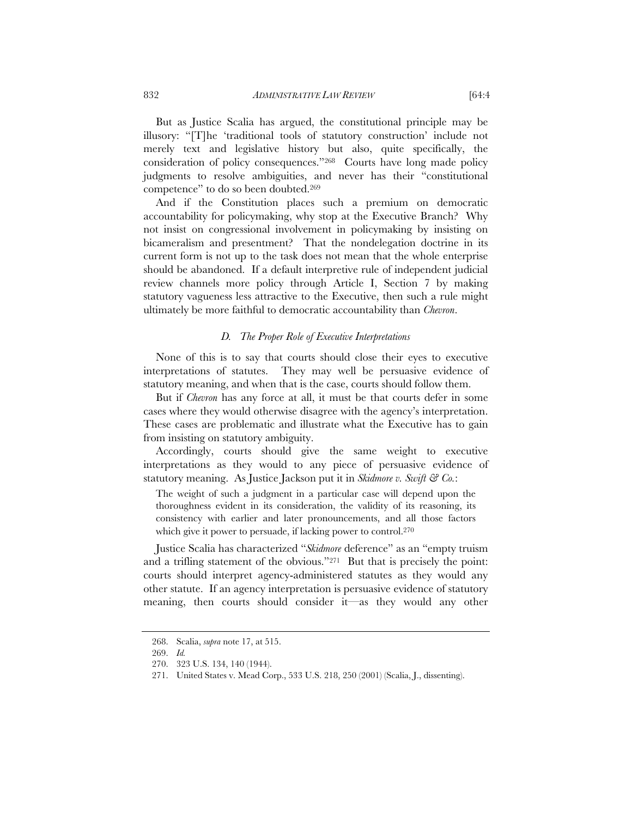But as Justice Scalia has argued, the constitutional principle may be illusory: "[T]he 'traditional tools of statutory construction' include not merely text and legislative history but also, quite specifically, the consideration of policy consequences."268 Courts have long made policy judgments to resolve ambiguities, and never has their "constitutional competence" to do so been doubted.269

And if the Constitution places such a premium on democratic accountability for policymaking, why stop at the Executive Branch? Why not insist on congressional involvement in policymaking by insisting on bicameralism and presentment? That the nondelegation doctrine in its current form is not up to the task does not mean that the whole enterprise should be abandoned. If a default interpretive rule of independent judicial review channels more policy through Article I, Section 7 by making statutory vagueness less attractive to the Executive, then such a rule might ultimately be more faithful to democratic accountability than *Chevron*.

#### *D. The Proper Role of Executive Interpretations*

None of this is to say that courts should close their eyes to executive interpretations of statutes. They may well be persuasive evidence of statutory meaning, and when that is the case, courts should follow them.

But if *Chevron* has any force at all, it must be that courts defer in some cases where they would otherwise disagree with the agency's interpretation. These cases are problematic and illustrate what the Executive has to gain from insisting on statutory ambiguity.

Accordingly, courts should give the same weight to executive interpretations as they would to any piece of persuasive evidence of statutory meaning. As Justice Jackson put it in *Skidmore v. Swift & Co.*:

The weight of such a judgment in a particular case will depend upon the thoroughness evident in its consideration, the validity of its reasoning, its consistency with earlier and later pronouncements, and all those factors which give it power to persuade, if lacking power to control.<sup>270</sup>

Justice Scalia has characterized "*Skidmore* deference" as an "empty truism and a trifling statement of the obvious."271 But that is precisely the point: courts should interpret agency-administered statutes as they would any other statute. If an agency interpretation is persuasive evidence of statutory meaning, then courts should consider it—as they would any other

 <sup>268.</sup> Scalia, *supra* note 17, at 515.

 <sup>269.</sup> *Id.* 

 <sup>270. 323</sup> U.S. 134, 140 (1944).

 <sup>271.</sup> United States v. Mead Corp., 533 U.S. 218, 250 (2001) (Scalia, J., dissenting).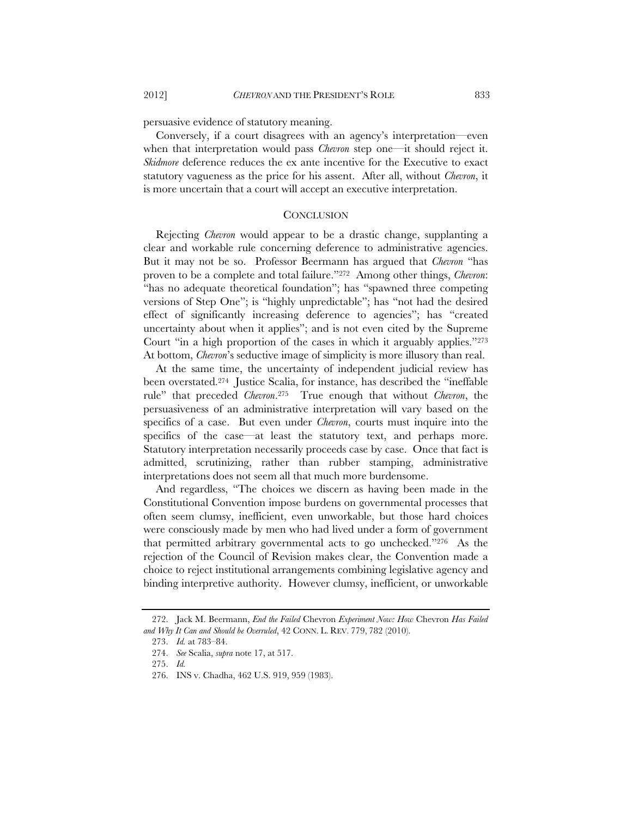persuasive evidence of statutory meaning.

Conversely, if a court disagrees with an agency's interpretation—even when that interpretation would pass *Chevron* step one—it should reject it. *Skidmore* deference reduces the ex ante incentive for the Executive to exact statutory vagueness as the price for his assent. After all, without *Chevron*, it is more uncertain that a court will accept an executive interpretation.

## **CONCLUSION**

Rejecting *Chevron* would appear to be a drastic change, supplanting a clear and workable rule concerning deference to administrative agencies. But it may not be so. Professor Beermann has argued that *Chevron* "has proven to be a complete and total failure."272 Among other things, *Chevron*: "has no adequate theoretical foundation"; has "spawned three competing versions of Step One"; is "highly unpredictable"; has "not had the desired effect of significantly increasing deference to agencies"; has "created uncertainty about when it applies"; and is not even cited by the Supreme Court "in a high proportion of the cases in which it arguably applies."273 At bottom, *Chevron*'s seductive image of simplicity is more illusory than real.

At the same time, the uncertainty of independent judicial review has been overstated.274 Justice Scalia, for instance, has described the "ineffable rule" that preceded *Chevron*.275 True enough that without *Chevron*, the persuasiveness of an administrative interpretation will vary based on the specifics of a case. But even under *Chevron*, courts must inquire into the specifics of the case—at least the statutory text, and perhaps more. Statutory interpretation necessarily proceeds case by case. Once that fact is admitted, scrutinizing, rather than rubber stamping, administrative interpretations does not seem all that much more burdensome.

And regardless, "The choices we discern as having been made in the Constitutional Convention impose burdens on governmental processes that often seem clumsy, inefficient, even unworkable, but those hard choices were consciously made by men who had lived under a form of government that permitted arbitrary governmental acts to go unchecked."276 As the rejection of the Council of Revision makes clear, the Convention made a choice to reject institutional arrangements combining legislative agency and binding interpretive authority. However clumsy, inefficient, or unworkable

 <sup>272.</sup> Jack M. Beermann, *End the Failed* Chevron *Experiment Now: How* Chevron *Has Failed and Why It Can and Should be Overruled*, 42 CONN. L. REV. 779, 782 (2010).

 <sup>273.</sup> *Id.* at 783–84.

 <sup>274.</sup> *See* Scalia, *supra* note 17, at 517.

 <sup>275.</sup> *Id.*

 <sup>276.</sup> INS v. Chadha, 462 U.S. 919, 959 (1983).